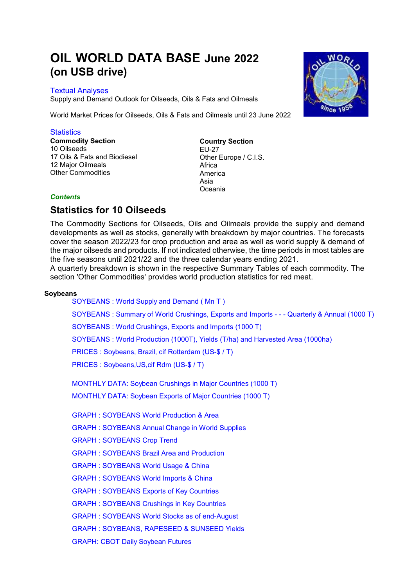# **OIL WORLD DATA BASE June 2022 (on USB drive)**

# Textual Analyses

Supply and Demand Outlook for Oilseeds, Oils & Fats and Oilmeals

World Market Prices for Oilseeds, Oils & Fats and Oilmeals until 23 June 2022

# **Statistics**

**Commodity Section** 10 Oilseeds 17 Oils & Fats and Biodiesel 12 Major Oilmeals Other Commodities

**Country Section** EU-27 Other Europe / C.I.S. Africa America Asia Oceania

# *Contents*

# **Statistics for 10 Oilseeds**

The Commodity Sections for Oilseeds, Oils and Oilmeals provide the supply and demand developments as well as stocks, generally with breakdown by major countries. The forecasts cover the season 2022/23 for crop production and area as well as world supply & demand of the major oilseeds and products. If not indicated otherwise, the time periods in most tables are the five seasons until 2021/22 and the three calendar years ending 2021.

A quarterly breakdown is shown in the respective Summary Tables of each commodity. The section 'Other Commodities' provides world production statistics for red meat.

# **Soybeans**

[SOYBEANS : World Supply](http://Stats/AN139900.htm) and Demand ( Mn T )

SOYBEANS : Summary [of World Crushings, Exports and Imports](http://Stats/AN13991.HTM) - - - Quarterly & Annual (1000 T)

[SOYBEANS : World Crushings, Exports](http://Stats/AN13992.HTM) and Imports (1000 T)

[SOYBEANS : World Production \(1000T\), Yields \(T/ha\) and Harvested Area \(1000ha\)](http://Stats/AN13993.HTM)

[PRICES : Soybeans, Brazil, cif Rotterdam \(US-\\$ / T\)](http://Stats/AN1399D.HTM)

[PRICES : Soybeans,US,cif Rdm \(US-\\$ / T\)](http://Stats/AN1399E.HTM)

[MONTHLY DATA: Soybean Crushings](http://Stats/AN1399X1.HTM) in Major Countries (1000 T) [MONTHLY DATA: Soybean Exports of Major Countries \(1000 T\)](http://Stats/AN1399X2.HTM)

[GRAPH : SOYBEANS World Production & Area](http://Stats/AN1399Ya.htm)

[GRAPH : SOYBEANS Annual Change in World Supplies](http://Stats/AN1399Yb.htm)

[GRAPH : SOYBEANS Crop Trend](http://Stats/AN1399Yc.htm)

[GRAPH : SOYBEANS Brazil Area and Production](http://Stats/AN1399Yd.htm)

[GRAPH : SOYBEANS World Usage & China](http://Stats/AN1399Ye.htm)

[GRAPH : SOYBEANS World Imports & China](http://Stats/AN1399Yf.htm) 

[GRAPH : SOYBEANS Exports of Key Countries](http://Stats/AN1399Yg.htm)

[GRAPH : SOYBEANS Crushings in Key Countries](http://Stats/AN1399Yh.htm)

[GRAPH : SOYBEANS World Stocks as of end-August](http://Stats/AN1399Yi.htm)

[GRAPH : SOYBEANS, RAPESEED & SUNSEED Yields](http://Stats/AN1399Yj.htm)

[GRAPH: CBOT Daily Soybean Futures](http://Stats/AN1399Za.htm)

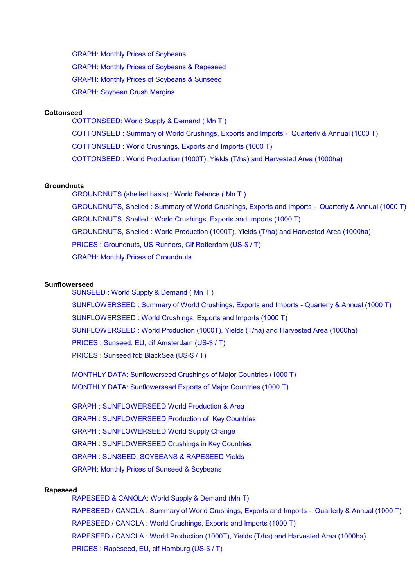GRAPH: Monthly [Prices of Soybeans](http://Stats/AN1399Zb.htm) GRAPH: Monthly [Prices of Soybeans & Rapeseed](http://Stats/AN1399Zc.htm) GRAPH: Monthly [Prices of Soybeans & Sunseed](http://Stats/AN1399Zd.htm) [GRAPH: Soybean Crush Margins](http://Stats/AN1399Ze.htm)

#### **Cottonseed**

[COTTONSEED: World Supply & Demand \( Mn T \)](http://Stats/AN142900.htm) COTTONSEED : Summary of World Crushings, Exports [and Imports - Quarterly & Annual \(1000 T\)](http://Stats/AN14291.HTM) [COTTONSEED : World Crushings, Exports and Imports](http://Stats/AN14292.HTM) (1000 T) [COTTONSEED : World Production \(1000T\), Yields \(T/ha\) and Harvested Area \(1000ha\)](http://Stats/AN14293.HTM)

#### **Groundnuts**

[GROUNDNUTS \(shelled basis\) : World Balance \( Mn T \)](http://Stats/AN144900.htm) GROUNDNUTS, Shelled : Summary [of World Crushings, Exports and Imports](http://Stats/AN14491.HTM) - Quarterly & Annual (1000 T) [GROUNDNUTS, Shelled : World Crushings, Exports and Imports \(1000 T\)](http://Stats/AN14492.HTM) [GROUNDNUTS, Shelled : World Production \(1000T\), Yields \(T/ha\) and Harvested Area \(1000ha\)](http://Stats/AN14493.HTM) [PRICES : Groundnuts, US Runners, Cif](http://Stats/AN1449D.HTM) Rotterdam (US-\$ / T) GRAPH: Monthly [Prices of Groundnuts](http://Stats/AN1449Za.htm)

#### **Sunflowerseed**

[SUNSEED : World Supply & Demand \( Mn T \)](http://Stats/AN147900.htm) [SUNFLOWERSEED : Summary of World Crushings, Exports and Imports - Quarterly & Annual \(1000 T\)](http://Stats/AN14791.HTM) [SUNFLOWERSEED : World Crushings, Exports and Imports \(1000 T\)](http://Stats/AN14792.HTM) [SUNFLOWERSEED : World Production \(1000T\), Yields \(T/ha\) and Harvested Area \(1000ha\)](http://Stats/AN14793.HTM) [PRICES : Sunseed, EU, cif Amsterdam \(US-\\$ / T\)](http://Stats/AN1479D.HTM) [PRICES : Sunseed fob BlackSea \(US-\\$ / T\)](http://Stats/AN1479E.HTM)

[MONTHLY DATA: Sunflowerseed Crushings of Major Countries \(1000 T\)](http://Stats/AN1479X1.HTM) [MONTHLY DATA: Sunflowerseed Exports of Major Countries \(1000 T\)](http://Stats/AN1479X2.HTM)

[GRAPH : SUNFLOWERSEED World Production & Area](http://Stats/AN1479Ya.htm)  [GRAPH : SUNFLOWERSEED Production of Key Countries](http://Stats/AN1479Yb.htm) [GRAPH : SUNFLOWERSEED World Supply Change](http://Stats/AN1479Yc.htm)  [GRAPH : SUNFLOWERSEED Crushings in Key Countries](http://Stats/AN1479Yd.htm) [GRAPH : SUNSEED, SOYBEANS & RAPESEED Yields](http://Stats/AN1479Ye.htm) GRAPH: Monthly [Prices of Sunseed & Soybeans](http://Stats/AN1479Za.htm)

#### **Rapeseed**

[RAPESEED & CANOLA: World Supply](http://Stats/AN149900.htm) & Demand (Mn T) [RAPESEED / CANOLA : Summary of World Crushings, Exports and Imports - Quarterly & Annual \(1000 T\)](http://Stats/AN14991.HTM) [RAPESEED / CANOLA : World Crushings, Exports and Imports \(1000 T\)](http://Stats/AN14992.HTM) [RAPESEED / CANOLA : World Production \(1000T\), Yields \(T/ha\) and Harvested Area \(1000ha\)](http://Stats/AN14993.HTM) [PRICES : Rapeseed, EU, cif Hamburg \(US-\\$ / T\)](http://Stats/AN1499D.HTM)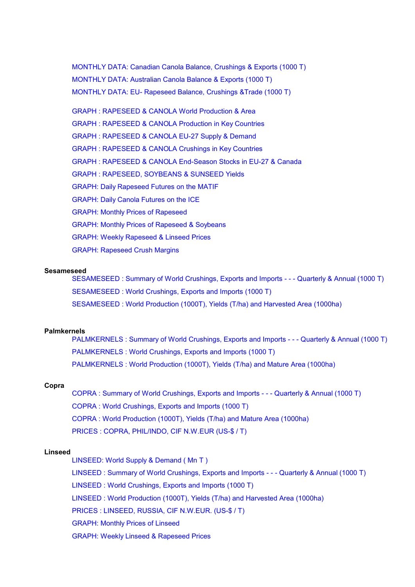[MONTHLY DATA: Canadian Canola Balance,](http://Stats/AN1499X1.HTM) Crushings & Exports (1000 T) [MONTHLY DATA: Australian Canola Balance & Exports \(1000 T\)](http://Stats/AN1499X2.HTM) [MONTHLY DATA: EU- Rapeseed Balance, Crushings &Trade \(1000 T\)](http://Stats/AN1499X3.HTM)

[GRAPH : RAPESEED & CANOLA World Production & Area](http://Stats/AN1499Ya.htm)  [GRAPH : RAPESEED & CANOLA Production in Key Countries](http://Stats/AN1499Yb.htm) [GRAPH : RAPESEED & CANOLA EU-27 Supply & Demand](http://Stats/AN1499Yc.htm)  [GRAPH : RAPESEED & CANOLA Crushings in Key Countries](http://Stats/AN1499Yd.htm) [GRAPH : RAPESEED & CANOLA End-Season Stocks in EU-27 & Canada](http://Stats/AN1499Ye.htm) [GRAPH : RAPESEED, SOYBEANS & SUNSEED Yields](http://Stats/AN1499Yf.htm) [GRAPH: Daily Rapeseed Futures on the MATIF](http://Stats/AN1499Za.htm) [GRAPH: Daily Canola Futures on the ICE](http://Stats/AN1499Zb.htm) GRAPH: Monthly [Prices of Rapeseed](http://Stats/AN1499Zc.htm) GRAPH: Monthly [Prices of Rapeseed & Soybeans](http://Stats/AN1499Zd.htm) GRAPH: Weekly [Rapeseed & Linseed Prices](http://Stats/AN1499Ze.htm) [GRAPH: Rapeseed Crush Margins](http://Stats/AN1499Zf.htm)

# **Sesameseed**

[SESAMESEED : Summary of World Crushings, Exports](http://Stats/AN15491.HTM) and Imports - - - Quarterly & Annual (1000 T) [SESAMESEED : World Crushings, Exports and Imports \(1000 T\)](http://Stats/AN15492.HTM) [SESAMESEED : World Production \(1000T\), Yields \(T/ha\) and Harvested Area \(1000ha\)](http://Stats/AN15493.HTM)

## **Palmkernels**

PALMKERNELS : Summary of [World Crushings, Exports and Imports - - - Quarterly & Annual \(1000 T\)](http://Stats/AN16591.HTM) [PALMKERNELS : World Crushings, Exports and Imports \(1000 T\)](http://Stats/AN16592.HTM) [PALMKERNELS : World Production \(1000T\), Yields \(T/ha\) and Mature Area \(1000ha\)](http://Stats/AN16593.HTM)

## **Copra**

[COPRA : Summary of World Crushings, Exports and Imports - - - Quarterly & Annual \(1000 T\)](http://Stats/AN16891.HTM) [COPRA : World Crushings, Exports and Imports \(1000 T\)](http://Stats/AN16892.HTM) [COPRA : World Production \(1000T\), Yields \(T/ha\) and Mature Area \(1000ha\)](http://Stats/AN16893.HTM) [PRICES : COPRA, PHIL/INDO, CIF N.W.EUR \(US-\\$ / T\)](http://Stats/AN1689D.HTM)

#### **Linseed**

[LINSEED: World Supply & Demand \( Mn T \)](http://Stats/AN177900.htm) LINSEED : Summary of World Crushings, Exports [and Imports - - - Quarterly & Annual \(1000 T\)](http://Stats/AN17791.HTM)

[LINSEED : World Crushings, Exports and Imports](http://Stats/AN17792.HTM) (1000 T)

[LINSEED : World Production \(1000T\), Yields \(T/ha\) and Harvested Area \(1000ha\)](http://Stats/AN17793.HTM)

[PRICES : LINSEED, RUSSIA, CIF N.W.EUR. \(US-\\$ / T\)](http://Stats/AN1779D.HTM)

GRAPH: Monthly [Prices of Linseed](http://Stats/AN1779Za.htm)

GRAPH: Weekly [Linseed & Rapeseed Prices](http://Stats/AN1779Zb.htm)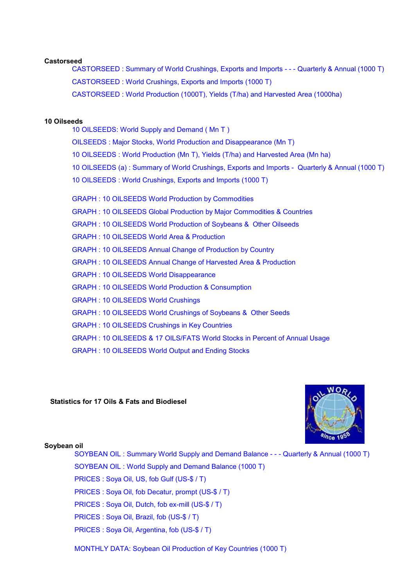#### **Castorseed**

CASTORSEED : Summary of [World Crushings, Exports and Imports - - - Quarterly & Annual \(1000 T\)](http://Stats/AN17891.HTM) [CASTORSEED : World Crushings, Exports and Imports \(1000 T\)](http://Stats/AN17892.HTM) [CASTORSEED : World Production \(1000T\), Yields \(T/ha\) and Harvested Area \(1000ha\)](http://Stats/AN17893.HTM)

#### **10 Oilseeds**

[10 OILSEEDS: World Supply and Demand \( Mn T](http://Stats/AN199900.htm) ) [OILSEEDS : Major Stocks, World Production and Disappearance \(Mn T\)](http://Stats/AN19991.HTM) [10 OILSEEDS : World Production \(Mn T\), Yields \(T/ha\) and Harvested Area \(Mn ha\)](http://Stats/AN19992.HTM) 10 OILSEEDS (a) : Summary of World Crushings, Exports [and Imports - Quarterly & Annual \(1000 T\)](http://Stats/AN19993.HTM) [10 OILSEEDS : World Crushings, Exports](http://Stats/AN19994.HTM) and Imports (1000 T) [GRAPH : 10 OILSEEDS World Production by Commodities](http://Stats/AN1999Ya.htm) [GRAPH : 10 OILSEEDS Global Production by](http://Stats/AN1999Yb.htm) Major Commodities & Countries [GRAPH : 10 OILSEEDS World Production of Soybeans & Other Oilseeds](http://Stats/AN1999Yc.htm) [GRAPH : 10 OILSEEDS World Area & Production](http://Stats/AN1999Yd.htm)  [GRAPH : 10 OILSEEDS Annual Change of Production by Country](http://Stats/AN1999Ye.htm) [GRAPH : 10 OILSEEDS Annual Change of Harvested Area & Production](http://Stats/AN1999Yf.htm) [GRAPH : 10 OILSEEDS World Disappearance](http://Stats/AN1999Yh.htm)  [GRAPH : 10 OILSEEDS World Production & Consumption](http://Stats/AN1999Yi.htm) [GRAPH : 10 OILSEEDS World Crushings](http://Stats/AN1999Yk.htm) [GRAPH : 10 OILSEEDS World Crushings of Soybeans & Other Seeds](http://Stats/AN1999Ym.htm) [GRAPH : 10 OILSEEDS Crushings in Key Countries](http://Stats/AN1999Yn.htm) [GRAPH : 10 OILSEEDS & 17 OILS/FATS World Stocks in Percent of Annual Usage](http://Stats/AN1999Yt.htm)  [GRAPH : 10 OILSEEDS World Output and Ending Stocks](http://Stats/AN1999Yu.htm)

# **Statistics for 17 Oils & Fats and Biodiesel**



#### **Soybean oil**

SOYBEAN OIL : Summary [World Supply and Demand Balance - - - Quarterly & Annual \(1000 T\)](http://Stats/AN23991.HTM) SOYBEAN OIL : World Supply [and Demand Balance \(1000 T\)](http://Stats/AN23992.HTM) [PRICES : Soya Oil, US, fob Gulf \(US-\\$ / T\)](http://Stats/AN2399D.HTM) [PRICES : Soya Oil, fob Decatur, prompt \(US-\\$ / T\)](http://Stats/AN2399E.HTM) [PRICES : Soya Oil, Dutch, fob ex-mill \(US-\\$ / T\)](http://Stats/AN2399F.HTM) [PRICES : Soya Oil, Brazil, fob \(US-\\$ / T\)](http://Stats/AN2399G.HTM) [PRICES : Soya Oil, Argentina, fob \(US-\\$ / T\)](http://Stats/AN2399H.HTM)

[MONTHLY DATA: Soybean Oil Production of Key Countries \(1000 T\)](http://Stats/AN2399X1.HTM)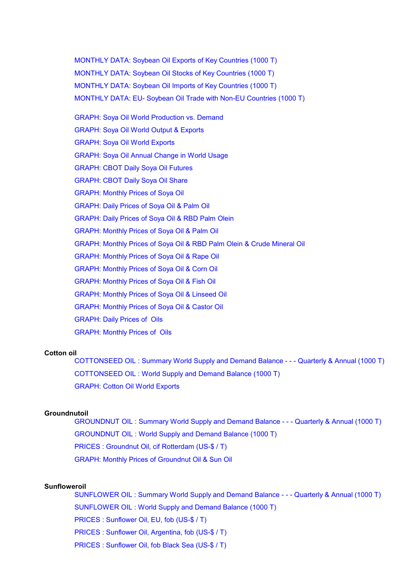[MONTHLY DATA: Soybean Oil Exports of Key Countries \(1000 T\)](http://Stats/AN2399X2.HTM) [MONTHLY DATA: Soybean Oil Stocks of](http://Stats/AN2399X3.HTM) Key Countries (1000 T) [MONTHLY DATA: Soybean Oil Imports of](http://Stats/AN2399X4.HTM) Key Countries (1000 T) [MONTHLY DATA: EU- Soybean Oil Trade with Non-EU Countries \(1000 T\)](http://Stats/AN2399X5.HTM) [GRAPH: Soya Oil World Production vs. Demand](http://Stats/AN2399Ya.htm) [GRAPH: Soya Oil World Output & Exports](http://Stats/AN2399Yb.htm) [GRAPH: Soya Oil World Exports](http://Stats/AN2399Yc.htm) [GRAPH: Soya Oil Annual Change in World Usage](http://Stats/AN2399Yd.htm) [GRAPH: CBOT Daily Soya Oil Futures](http://Stats/AN2399Za.htm) [GRAPH: CBOT Daily Soya Oil Share](http://Stats/AN2399Zb.htm) [GRAPH: Monthly Prices of Soya Oil](http://Stats/AN2399Zc.htm) [GRAPH: Daily Prices of Soya Oil & Palm Oil](http://Stats/AN2399Zd.htm) [GRAPH: Daily Prices of Soya Oil & RBD Palm Olein](http://Stats/AN2399Ze.htm) [GRAPH: Monthly Prices of Soya Oil & Palm Oil](http://Stats/AN2399Zf.htm) [GRAPH: Monthly Prices of Soya Oil & RBD Palm Olein & Crude Mineral Oil](http://Stats/AN2399Zg.htm) [GRAPH: Monthly Prices of Soya Oil & Rape Oil](http://Stats/AN2399Zh.htm) [GRAPH: Monthly Prices of Soya Oil & Corn Oil](http://Stats/AN2399Zi.htm) [GRAPH: Monthly Prices of Soya Oil & Fish Oil](http://Stats/AN2399Zj.htm) [GRAPH: Monthly Prices of Soya Oil & Linseed Oil](http://Stats/AN2399Zk.htm) [GRAPH: Monthly Prices of Soya Oil & Castor Oil](http://Stats/AN2399Zl.htm) [GRAPH: Daily Prices of Oils](http://Stats/AN2399Zm.htm) [GRAPH: Monthly Prices of Oils](http://Stats/AN2399Zn.htm)

#### **Cotton oil**

[COTTONSEED OIL : Summary World Supply and Demand Balance - - - Quarterly & Annual \(1000 T\)](http://Stats/AN24291.HTM) [COTTONSEED OIL : World Supply and Demand Balance \(1000 T\)](http://Stats/AN24292.HTM) [GRAPH: Cotton Oil World Exports](http://Stats/AN2429Za.htm)

## **Groundnutoil**

GROUNDNUT OIL : Summary [World Supply and Demand Balance - - - Quarterly & Annual \(1000 T\)](http://Stats/AN24491.HTM) [GROUNDNUT OIL : World Supply and Demand Balance \(1000 T\)](http://Stats/AN24492.HTM) [PRICES : Groundnut Oil, cif Rotterdam \(US-\\$ / T\)](http://Stats/AN2449D.HTM) [GRAPH: Monthly Prices of Groundnut Oil & Sun Oil](http://Stats/AN2449Za.htm)

## **Sunfloweroil**

SUNFLOWER OIL : Summary [World Supply and Demand Balance - - - Quarterly & Annual \(1000 T\)](http://Stats/AN24791.HTM) [SUNFLOWER OIL : World Supply and Demand Balance \(1000 T\)](http://Stats/AN24792.HTM) [PRICES : Sunflower Oil, EU, fob \(US-\\$ / T\)](http://Stats/AN2479D.HTM) [PRICES : Sunflower Oil, Argentina, fob \(US-\\$ / T\)](http://Stats/AN2479E.HTM) [PRICES : Sunflower Oil, fob Black Sea \(US-\\$ / T\)](http://Stats/AN2479F.HTM)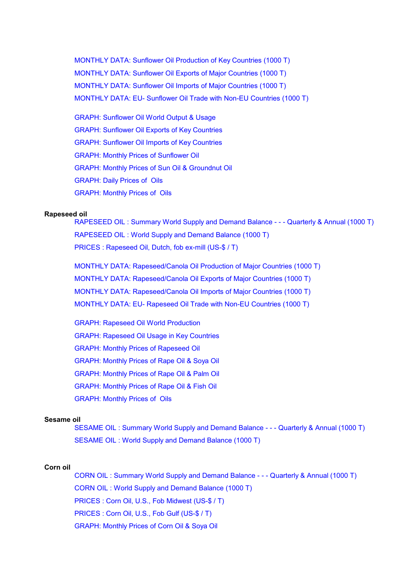[MONTHLY DATA: Sunflower Oil Production of Key](http://Stats/AN2479X1.HTM) Countries (1000 T) [MONTHLY DATA: Sunflower Oil Exports of](http://Stats/AN2479X2.HTM) Major Countries (1000 T) [MONTHLY DATA: Sunflower Oil Imports of](http://Stats/AN2479X3.HTM) Major Countries (1000 T) [MONTHLY DATA: EU- Sunflower Oil Trade with Non-EU Countries \(1000 T\)](http://Stats/AN2479X4.HTM)

[GRAPH: Sunflower Oil World Output & Usage](http://Stats/AN2479Ya.htm) [GRAPH: Sunflower Oil Exports](http://Stats/AN2479Yb.htm) of Key Countries [GRAPH: Sunflower Oil Imports of Key](http://Stats/AN2479Yc.htm) Countries [GRAPH: Monthly Prices of Sunflower Oil](http://Stats/AN2479Za.htm) [GRAPH: Monthly Prices of Sun Oil & Groundnut Oil](http://Stats/AN2479Zb.htm) [GRAPH: Daily Prices of Oils](http://Stats/AN2479Zc.htm) [GRAPH: Monthly Prices of Oils](http://Stats/AN2479Zd.htm)

#### **Rapeseed oil**

RAPESEED OIL : Summary World Supply [and Demand Balance - - - Quarterly & Annual \(1000 T\)](http://Stats/AN24991.HTM) [RAPESEED OIL : World Supply and Demand Balance \(1000 T\)](http://Stats/AN24992.HTM) [PRICES : Rapeseed Oil, Dutch, fob ex-mill](http://Stats/AN2499D.HTM) (US-\$ / T)

[MONTHLY DATA: Rapeseed/Canola Oil Production of Major Countries \(1000 T\)](http://Stats/AN2499X1.HTM) [MONTHLY DATA: Rapeseed/Canola Oil Exports](http://Stats/AN2499X2.HTM) of Major Countries (1000 T) [MONTHLY DATA: Rapeseed/Canola Oil Imports of Major Countries \(1000 T\)](http://Stats/AN2499X3.HTM) MONTHLY DATA: EU- Rapeseed Oil [Trade with Non-EU Countries \(1000 T\)](http://Stats/AN2499X4.HTM)

[GRAPH: Rapeseed Oil](http://Stats/AN2499Ya.htm) World Production GRAPH: Rapeseed Oil [Usage in Key Countries](http://Stats/AN2499Yb.htm) [GRAPH: Monthly Prices of Rapeseed Oil](http://Stats/AN2499Za.htm) [GRAPH: Monthly Prices of Rape Oil & Soya Oil](http://Stats/AN2499Zb.htm) [GRAPH: Monthly Prices of Rape Oil & Palm](http://Stats/AN2499Zc.htm) Oil [GRAPH: Monthly Prices of Rape Oil & Fish Oil](http://Stats/AN2499Zd.htm) [GRAPH: Monthly Prices of Oils](http://Stats/AN2499Ze.htm)

#### **Sesame oil**

[SESAME OIL : Summary World Supply and Demand Balance - - - Quarterly & Annual \(1000 T\)](http://Stats/AN25491.HTM) [SESAME OIL : World Supply and Demand Balance \(1000 T\)](http://Stats/AN25492.HTM)

#### **Corn oil**

[CORN OIL : Summary World Supply and Demand Balance - - - Quarterly & Annual \(1000 T\)](http://Stats/AN25691.HTM) [CORN OIL : World Supply and Demand Balance \(1000 T\)](http://Stats/AN25692.HTM) [PRICES : Corn Oil, U.S., Fob Midwest \(US-\\$ / T\)](http://Stats/AN2569D.HTM) [PRICES : Corn Oil, U.S., Fob Gulf](http://Stats/AN2569E.HTM) (US-\$ / T) [GRAPH: Monthly Prices of Corn Oil](http://Stats/AN2569Za.htm) & Soya Oil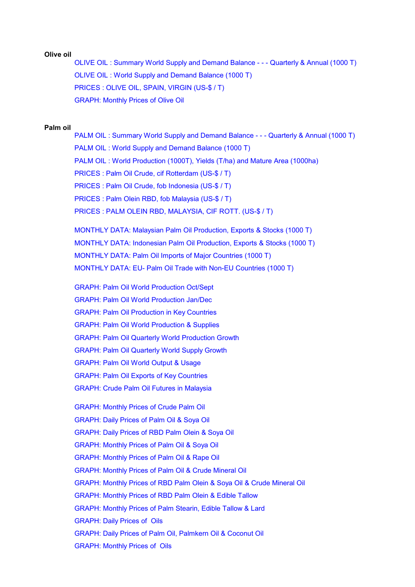#### **Olive oil**

[OLIVE OIL : Summary World Supply and Demand Balance - - - Quarterly](http://Stats/AN26291.HTM) & Annual (1000 T) [OLIVE OIL : World Supply and Demand Balance \(1000 T\)](http://Stats/AN26292.HTM) [PRICES : OLIVE OIL, SPAIN, VIRGIN \(US-\\$ / T\)](http://Stats/AN2629D.HTM) [GRAPH: Monthly Prices of Olive Oil](http://Stats/AN2629Za.htm)

#### **Palm oil**

[PALM OIL : Summary World Supply and Demand Balance - - - Quarterly & Annual \(1000 T\)](http://Stats/AN26391.HTM) [PALM OIL : World Supply and Demand Balance \(1000 T\)](http://Stats/AN26392.HTM) [PALM OIL : World Production \(1000T\), Yields](http://Stats/AN26393.HTM) (T/ha) and Mature Area (1000ha) [PRICES : Palm Oil Crude, cif Rotterdam \(US-\\$ / T\)](http://Stats/AN2639D.HTM) [PRICES : Palm Oil Crude, fob Indonesia \(US-\\$ / T\)](http://Stats/AN2639E.HTM) [PRICES : Palm Olein RBD, fob Malaysia \(US-\\$ / T\)](http://Stats/AN2639F.HTM) [PRICES : PALM OLEIN RBD, MALAYSIA, CIF ROTT. \(US-\\$ / T\)](http://Stats/AN2639G.HTM)

[MONTHLY DATA: Malaysian Palm Oil Production, Exports & Stocks \(1000 T\)](http://Stats/AN2639X1.HTM) [MONTHLY DATA: Indonesian Palm Oil Production, Exports & Stocks \(1000 T\)](http://Stats/AN2639X2.HTM) MONTHLY DATA: Palm [Oil Imports of Major Countries \(1000 T\)](http://Stats/AN2639X3.HTM) [MONTHLY DATA: EU- Palm Oil Trade with Non-EU Countries \(1000 T\)](http://Stats/AN2639X4.HTM)

GRAPH: Palm [Oil World Production Oct/Sept](http://Stats/AN2639Ya.htm) GRAPH: Palm [Oil World Production Jan/Dec](http://Stats/AN2639Yb.htm) GRAPH: Palm [Oil Production in Key Countries](http://Stats/AN2639Yc.htm) GRAPH: Palm [Oil World Production & Supplies](http://Stats/AN2639Yd.htm) GRAPH: Palm [Oil Quarterly World Production Growth](http://Stats/AN2639Ye.htm) GRAPH: Palm [Oil Quarterly World Supply Growth](http://Stats/AN2639Yf.htm) GRAPH: Palm [Oil World Output & Usage](http://Stats/AN2639Yg.htm) GRAPH: Palm [Oil Exports of Key Countries](http://Stats/AN2639Yh.htm) [GRAPH: Crude Palm Oil](http://Stats/AN2639Za.htm) Futures in Malaysia

[GRAPH: Monthly Prices of Crude Palm Oil](http://Stats/AN2639Zb.htm) [GRAPH: Daily Prices of Palm Oil & Soya Oil](http://Stats/AN2639Zc.htm) [GRAPH: Daily Prices of RBD Palm Olein & Soya Oil](http://Stats/AN2639Zd.htm) [GRAPH: Monthly Prices of Palm Oil & Soya Oil](http://Stats/AN2639Ze.htm) [GRAPH: Monthly Prices of Palm Oil & Rape](http://Stats/AN2639Zf.htm) Oil [GRAPH: Monthly Prices of Palm Oil & Crude Mineral Oil](http://Stats/AN2639Zg.htm) [GRAPH: Monthly Prices of RBD Palm Olein & Soya Oil & Crude Mineral Oil](http://Stats/AN2639Zh.htm) [GRAPH: Monthly Prices of RBD Palm Olein & Edible Tallow](http://Stats/AN2639Zi.htm) [GRAPH: Monthly Prices of Palm Stearin, Edible Tallow & Lard](http://Stats/AN2639Zj.htm) [GRAPH: Daily Prices of Oils](http://Stats/AN2639Zk.htm) [GRAPH: Daily Prices of Palm Oil, Palmkern Oil & Coconut Oil](http://Stats/AN2639Zl.htm) [GRAPH: Monthly Prices of Oils](http://Stats/AN2639Zm.htm)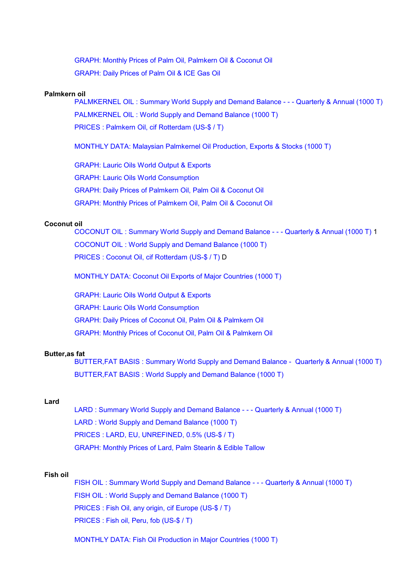[GRAPH: Monthly Prices of Palm Oil, Palmkern Oil & Coconut Oil](http://Stats/AN2639Zn.htm) [GRAPH: Daily Prices of Palm Oil & ICE Gas Oil](http://Stats/AN2639Zo.htm)

#### **Palmkern oil**

PALMKERNEL OIL : Summary [World Supply and Demand Balance - - - Quarterly & Annual \(1000 T\)](http://Stats/AN26591.HTM) [PALMKERNEL OIL : World Supply and Demand Balance \(1000 T\)](http://Stats/AN26592.HTM) [PRICES : Palmkern Oil, cif Rotterdam \(US-\\$ / T\)](http://Stats/AN2659D.HTM)

[MONTHLY DATA: Malaysian Palmkernel Oil Production, Exports](http://Stats/AN2659X1.HTM) & Stocks (1000 T)

[GRAPH: Lauric Oils World Output & Exports](http://Stats/AN2659Ya.htm) [GRAPH: Lauric Oils World Consumption](http://Stats/AN2659Yb.htm) [GRAPH: Daily Prices of Palmkern Oil, Palm Oil & Coconut Oil](http://Stats/AN2659Za.htm) [GRAPH: Monthly Prices of Palmkern Oil, Palm Oil & Coconut Oil](http://Stats/AN2659Zb.htm)

#### **Coconut oil**

[COCONUT OIL : Summary World Supply and Demand Balance - - - Quarterly & Annual \(1000 T\)](http://Stats/AN26891.HTM) 1 [COCONUT OIL : World Supply and Demand Balance \(1000 T\)](http://Stats/AN26892.HTM) [PRICES : Coconut Oil, cif Rotterdam \(US-\\$ / T\)](http://Stats/AN2689D.HTM) D

[MONTHLY DATA: Coconut Oil Exports of Major Countries \(1000 T\)](http://Stats/AN2689X1.HTM)

[GRAPH: Lauric Oils World Output & Exports](http://Stats/AN2689Ya.htm) [GRAPH: Lauric Oils World Consumption](http://Stats/AN2689Yb.htm) [GRAPH: Daily Prices of Coconut Oil, Palm Oil & Palmkern Oil](http://Stats/AN2689Za.htm) [GRAPH: Monthly Prices of Coconut Oil, Palm Oil & Palmkern Oil](http://Stats/AN2689Zb.htm)

#### **Butter,as fat**

[BUTTER,FAT BASIS : Summary World Supply and Demand Balance - Quarterly & Annual \(1000 T\)](http://Stats/AN26991.HTM) [BUTTER,FAT BASIS : World Supply and Demand Balance \(1000 T\)](http://Stats/AN26992.HTM)

# **Lard**

[LARD : Summary World Supply and Demand Balance - - - Quarterly & Annual \(1000 T\)](http://Stats/AN27091.HTM) [LARD : World Supply and Demand Balance \(1000 T\)](http://Stats/AN27092.HTM) [PRICES : LARD, EU, UNREFINED, 0.5% \(US-\\$ / T\)](http://Stats/AN2709D.HTM) [GRAPH: Monthly Prices of Lard, Palm Stearin & Edible Tallow](http://Stats/AN2709Za.htm)

#### **Fish oil**

[FISH OIL : Summary World Supply and Demand Balance - - - Quarterly & Annual \(1000 T\)](http://Stats/AN27291.HTM) [FISH OIL : World Supply and Demand Balance \(1000 T\)](http://Stats/AN27292.HTM) [PRICES : Fish Oil, any origin, cif Europe \(US-\\$ / T\)](http://Stats/AN2729D.HTM) [PRICES : Fish oil, Peru, fob \(US-\\$ / T\)](http://Stats/AN2729E.HTM)

[MONTHLY DATA: Fish Oil Production in Major Countries \(1000 T\)](http://Stats/AN2729X1.HTM)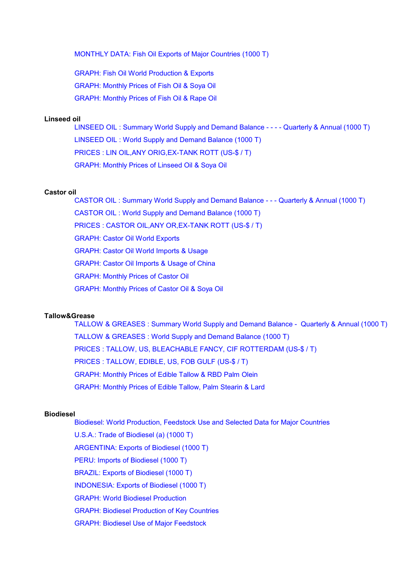[MONTHLY DATA: Fish Oil Exports of Major Countries \(1000 T\)](http://Stats/AN2729X2.HTM)

[GRAPH: Fish Oil World Production & Exports](http://Stats/AN2729Ya.htm) [GRAPH: Monthly Prices of Fish Oil & Soya Oil](http://Stats/AN2729Za.htm) [GRAPH: Monthly Prices of Fish Oil & Rape Oil](http://Stats/AN2729Zb.htm)

## **Linseed oil**

[LINSEED OIL : Summary World Supply and Demand Balance - - - - Quarterly & Annual \(1000 T\)](http://Stats/AN27791.HTM) [LINSEED OIL : World Supply and Demand Balance \(1000 T\)](http://Stats/AN27792.HTM) [PRICES : LIN OIL,ANY ORIG,EX-TANK ROTT](http://Stats/AN2779D.HTM) (US-\$ / T) [GRAPH: Monthly Prices of Linseed Oil & Soya Oil](http://Stats/AN2779Za.htm)

## **Castor oil**

[CASTOR OIL : Summary World Supply and Demand Balance - - - Quarterly & Annual \(1000 T\)](http://Stats/AN27891.HTM) [CASTOR OIL : World Supply and Demand Balance \(1000 T\)](http://Stats/AN27892.HTM) [PRICES : CASTOR OIL,ANY OR,EX-TANK ROTT \(US-\\$ / T\)](http://Stats/AN2789D.HTM) [GRAPH: Castor Oil World Exports](http://Stats/AN2789Ya.htm) [GRAPH: Castor Oil World Imports & Usage](http://Stats/AN2789Yb.htm) [GRAPH: Castor Oil Imports & Usage of China](http://Stats/AN2789Yc.htm) [GRAPH: Monthly Prices of Castor Oil](http://Stats/AN2789Za.htm) [GRAPH: Monthly Prices of Castor Oil & Soya Oil](http://Stats/AN2789Zb.htm)

# **Tallow&Grease**

[TALLOW & GREASES : Summary World Supply and Demand Balance - Quarterly & Annual \(1000 T\)](http://Stats/AN29091.HTM) [TALLOW & GREASES : World Supply and Demand Balance \(1000 T\)](http://Stats/AN29092.HTM) [PRICES : TALLOW, US, BLEACHABLE FANCY, CIF ROTTERDAM \(US-\\$ / T\)](http://Stats/AN2909D.HTM) [PRICES : TALLOW, EDIBLE, US, FOB GULF \(US-\\$ / T\)](http://Stats/AN2909E.HTM) [GRAPH: Monthly Prices of Edible Tallow & RBD Palm Olein](http://Stats/AN2909Za.htm) [GRAPH: Monthly Prices of Edible Tallow, Palm Stearin & Lard](http://Stats/AN2909Zb.htm)

#### **Biodiesel**

Biodiesel: World Production, Feedstock [Use and Selected Data for Major Countries](file:///|/pdf/biodiesel.pdf) [U.S.A.: Trade of Biodiesel \(a\) \(1000 T\)](http://Stats/AN29495.HTM) [ARGENTINA: Exports of](http://Stats/AN29496.HTM) Biodiesel (1000 T) [PERU: Imports of Biodiesel \(1000 T\)](http://Stats/AN29497.HTM) BRAZIL: Exports [of Biodiesel \(1000 T\)](http://Stats/AN29498.HTM) [INDONESIA: Exports of Biodiesel \(1000 T\)](http://Stats/AN29499.HTM) [GRAPH: World Biodiesel Production](http://Stats/AN2949Ya.htm) [GRAPH: Biodiesel Production of Key Countries](http://Stats/AN2949Yb.htm) [GRAPH: Biodiesel Use of Major Feedstock](http://Stats/AN2949Yc.htm)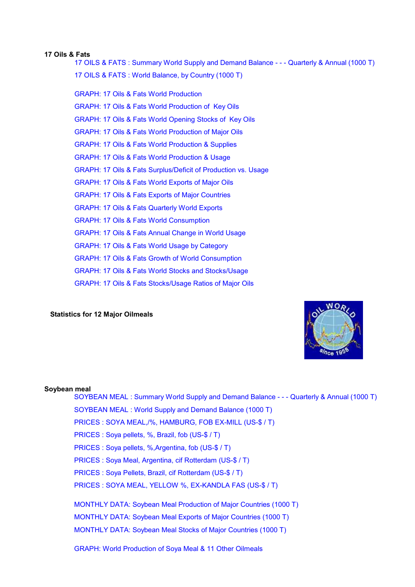#### **17 Oils & Fats**

[17 OILS & FATS : Summary World Supply and Demand Balance - - - Quarterly & Annual \(1000 T\)](http://Stats/AN29991.HTM) [17 OILS & FATS : World Balance, by Country \(1000 T\)](http://Stats/AN29992.HTM)

GRAPH: 17 Oils [& Fats World Production](http://Stats/AN2999Ya.htm) GRAPH: 17 Oils [& Fats World Production of Key Oils](http://Stats/AN2999Yb.htm) GRAPH: 17 Oils [& Fats World Opening Stocks of Key Oils](http://Stats/AN2999Yc.htm) GRAPH: 17 Oils [& Fats World Production of Major Oils](http://Stats/AN2999Yd.htm) GRAPH: 17 Oils [& Fats World Production & Supplies](http://Stats/AN2999Ye.htm) GRAPH: 17 Oils [& Fats World Production & Usage](http://Stats/AN2999Yf.htm) GRAPH: 17 Oils [& Fats Surplus/Deficit of Production vs. Usage](http://Stats/AN2999Yg.htm) GRAPH: 17 Oils [& Fats World Exports of Major Oils](http://Stats/AN2999Yh.htm) GRAPH: 17 Oils [& Fats Exports of Major Countries](http://Stats/AN2999Yi.htm) GRAPH: 17 Oils [& Fats Quarterly World Exports](http://Stats/AN2999Yj.htm) GRAPH: 17 Oils [& Fats World Consumption](http://Stats/AN2999Yk.htm) GRAPH: 17 Oils [& Fats Annual Change in World Usage](http://Stats/AN2999Yl.htm) GRAPH: 17 Oils [& Fats World Usage by Category](http://Stats/AN2999Ym.htm) GRAPH: 17 Oils [& Fats Growth of World Consumption](http://Stats/AN2999Yn.htm) GRAPH: 17 Oils [& Fats World Stocks and Stocks/Usage](http://Stats/AN2999Yo.htm) GRAPH: 17 Oils [& Fats Stocks/Usage Ratios of Major Oils](http://Stats/AN2999Yp.htm)

#### **Statistics for 12 Major Oilmeals**



## **Soybean meal**

SOYBEAN MEAL : Summary World Supply [and Demand Balance - - - Quarterly & Annual \(1000 T\)](http://Stats/AN33991.HTM) [SOYBEAN MEAL : World Supply and Demand Balance \(1000 T\)](http://Stats/AN33992.HTM) [PRICES : SOYA MEAL,/%, HAMBURG, FOB EX-MILL \(US-\\$ / T\)](http://Stats/AN3399D.HTM) [PRICES : Soya pellets, %, Brazil, fob \(US-\\$ / T\)](http://Stats/AN3399E.HTM) [PRICES : Soya pellets, %,Argentina, fob \(US-\\$ / T\)](http://Stats/AN3399F.HTM) [PRICES : Soya Meal, Argentina, cif Rotterdam](http://Stats/AN3399G.HTM) (US-\$ / T) [PRICES : Soya Pellets, Brazil, cif Rotterdam \(US-\\$ / T\)](http://Stats/AN3399H.HTM) [PRICES : SOYA MEAL, YELLOW %, EX-KANDLA FAS \(US-\\$ / T\)](http://Stats/AN3399J.HTM) [MONTHLY DATA: Soybean Meal Production of Major Countries](http://Stats/AN3399X1.HTM) (1000 T) [MONTHLY DATA: Soybean Meal Exports of Major Countries \(1000 T\)](http://Stats/AN3399X2.HTM) [MONTHLY DATA: Soybean Meal Stocks of](http://Stats/AN3399X3.HTM) Major Countries (1000 T) [GRAPH: World Production of Soya Meal & 11 Other Oilmeals](http://Stats/AN3399Ya.htm)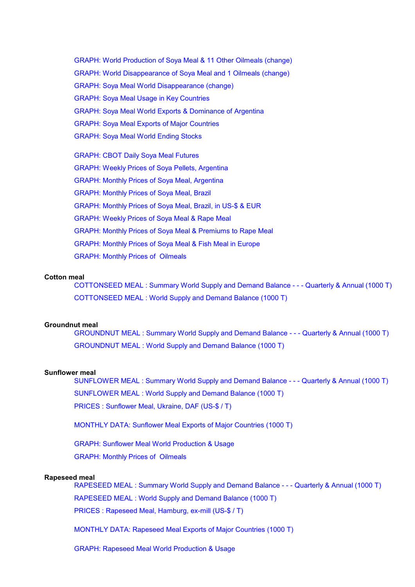[GRAPH: World Production of Soya Meal & 11 Other Oilmeals \(change\)](http://Stats/AN3399Yb.htm) [GRAPH: World Disappearance of Soya Meal and 1 Oilmeals \(change\)](http://Stats/AN3399Yc.htm) [GRAPH: Soya Meal World Disappearance \(change\)](http://Stats/AN3399Yd.htm) [GRAPH: Soya Meal Usage in Key Countries](http://Stats/AN3399Ye.htm) [GRAPH: Soya Meal World Exports & Dominance of Argentina](http://Stats/AN3399Yf.htm) [GRAPH: Soya Meal Exports of](http://Stats/AN3399Yg.htm) Major Countries [GRAPH: Soya Meal World Ending Stocks](http://Stats/AN3399Yh.htm)

[GRAPH: CBOT Daily Soya Meal Futures](http://Stats/AN3399Za.htm) GRAPH: Weekly [Prices of Soya Pellets, Argentina](http://Stats/AN3399Zb.htm) GRAPH: Monthly [Prices of Soya Meal, Argentina](http://Stats/AN3399Zc.htm) GRAPH: Monthly [Prices of Soya Meal, Brazil](http://Stats/AN3399Zd.htm) GRAPH: Monthly [Prices of Soya Meal, Brazil, in US-\\$ & EUR](http://Stats/AN3399Ze.htm) GRAPH: Weekly [Prices of Soya Meal & Rape Meal](http://Stats/AN3399Zf.htm) GRAPH: Monthly [Prices of Soya Meal & Premiums to Rape Meal](http://Stats/AN3399Zg.htm) GRAPH: Monthly [Prices of Soya Meal & Fish Meal in Europe](http://Stats/AN3399Zh.htm) GRAPH: Monthly [Prices of Oilmeals](http://Stats/AN3399Zi.htm)

#### **Cotton meal**

[COTTONSEED MEAL : Summary World Supply and Demand Balance - - - Quarterly & Annual \(1000 T\)](http://Stats/AN34291.HTM) [COTTONSEED MEAL : World Supply and Demand Balance \(1000 T\)](http://Stats/AN34292.HTM)

#### **Groundnut meal**

[GROUNDNUT MEAL : Summary World Supply and Demand Balance - - - Quarterly & Annual \(1000 T\)](http://Stats/AN34491.HTM) [GROUNDNUT MEAL : World Supply and Demand Balance \(1000 T\)](http://Stats/AN34492.HTM)

#### **Sunflower meal**

[SUNFLOWER MEAL : Summary World Supply and Demand Balance - - - Quarterly & Annual \(1000 T\)](http://Stats/AN34791.HTM) [SUNFLOWER MEAL : World Supply and Demand Balance \(1000 T\)](http://Stats/AN34792.HTM) [PRICES : Sunflower Meal, Ukraine, DAF \(US-\\$ / T\)](http://Stats/AN3479D.HTM)

[MONTHLY DATA: Sunflower Meal Exports](http://Stats/AN3479X1.HTM) of Major Countries (1000 T)

[GRAPH: Sunflower Meal World Production & Usage](http://Stats/AN3479Ya.htm)

GRAPH: Monthly [Prices of Oilmeals](http://Stats/AN3479Za.htm)

#### **Rapeseed meal**

[RAPESEED MEAL : Summary World Supply and Demand Balance - - - Quarterly & Annual \(1000 T\)](http://Stats/AN34991.HTM) [RAPESEED MEAL : World Supply and Demand Balance \(1000 T\)](http://Stats/AN34992.HTM)

[PRICES : Rapeseed Meal, Hamburg, ex-mill \(US-\\$ / T\)](http://Stats/AN3499D.HTM)

[MONTHLY DATA: Rapeseed Meal Exports](http://Stats/AN3499X1.HTM) of Major Countries (1000 T)

GRAPH: Rapeseed Meal [World Production & Usage](http://Stats/AN3499Ya.htm)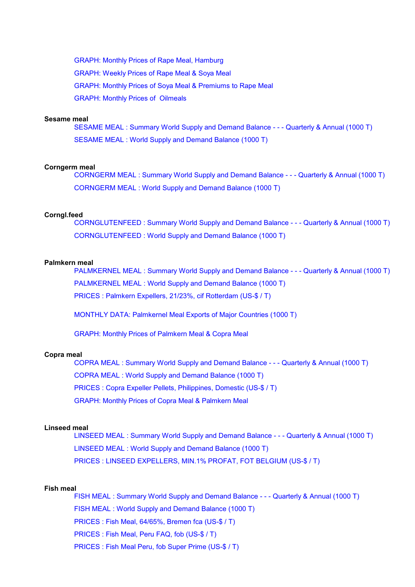GRAPH: Monthly [Prices of Rape Meal, Hamburg](http://Stats/AN3499Za.htm) GRAPH: Weekly [Prices of Rape Meal & Soya Meal](http://Stats/AN3499Zb.htm) GRAPH: Monthly [Prices of Soya Meal & Premiums to Rape Meal](http://Stats/AN3499Zc.htm) GRAPH: Monthly [Prices of Oilmeals](http://Stats/AN3499Zd.htm)

#### **Sesame meal**

[SESAME MEAL : Summary World Supply and Demand Balance - - - Quarterly & Annual \(1000 T\)](http://Stats/AN35491.HTM) [SESAME MEAL : World Supply and Demand Balance \(1000 T\)](http://Stats/AN35492.HTM)

#### **Corngerm meal**

[CORNGERM MEAL : Summary World Supply and Demand Balance - - - Quarterly & Annual \(1000 T\)](http://Stats/AN35691.HTM) [CORNGERM MEAL : World Supply](http://Stats/AN35692.HTM) and Demand Balance (1000 T)

#### **Corngl.feed**

[CORNGLUTENFEED : Summary World Supply and Demand Balance - - - Quarterly & Annual \(1000 T\)](http://Stats/AN35791.HTM) [CORNGLUTENFEED : World Supply and Demand Balance \(1000 T\)](http://Stats/AN35792.HTM)

# **Palmkern meal**

[PALMKERNEL MEAL : Summary World Supply and Demand Balance - - - Quarterly & Annual \(1000 T\)](http://Stats/AN36591.HTM) [PALMKERNEL MEAL : World Supply and Demand Balance \(1000 T\)](http://Stats/AN36592.HTM) [PRICES : Palmkern Expellers, 21/23%, cif Rotterdam \(US-\\$ / T\)](http://Stats/AN3659D.HTM)

[MONTHLY DATA: Palmkernel Meal Exports of Major Countries \(1000 T\)](http://Stats/AN3659X1.HTM)

GRAPH: Monthly [Prices of Palmkern Meal &](http://Stats/AN3659Za.htm) Copra Meal

### **Copra meal**

[COPRA MEAL : Summary World Supply and Demand Balance - - - Quarterly & Annual](http://Stats/AN36891.HTM) (1000 T) [COPRA MEAL : World Supply and Demand Balance \(1000 T\)](http://Stats/AN36892.HTM) [PRICES : Copra Expeller Pellets, Philippines, Domestic \(US-\\$ / T\)](http://Stats/AN3689D.HTM) GRAPH: Monthly [Prices of Copra Meal & Palmkern Meal](http://Stats/AN3689Za.htm)

## **Linseed meal**

[LINSEED MEAL : Summary World Supply and Demand Balance - - - Quarterly & Annual \(1000 T\)](http://Stats/AN37791.HTM) [LINSEED MEAL : World Supply and Demand Balance \(1000 T\)](http://Stats/AN37792.HTM) [PRICES : LINSEED EXPELLERS, MIN.1% PROFAT, FOT](http://Stats/AN3779D.HTM) BELGIUM (US-\$ / T)

#### **Fish meal**

[FISH MEAL : Summary World Supply and Demand Balance - - - Quarterly](http://Stats/AN39591.HTM) & Annual (1000 T) [FISH MEAL : World Supply and Demand Balance \(1000 T\)](http://Stats/AN39592.HTM) [PRICES : Fish Meal, 64/65%, Bremen fca \(US-\\$ / T\)](http://Stats/AN3959D.HTM) [PRICES : Fish Meal, Peru FAQ, fob \(US-\\$ / T\)](http://Stats/AN3959E.HTM) [PRICES : Fish Meal Peru, fob Super Prime \(US-\\$ / T\)](http://Stats/AN3959F.HTM)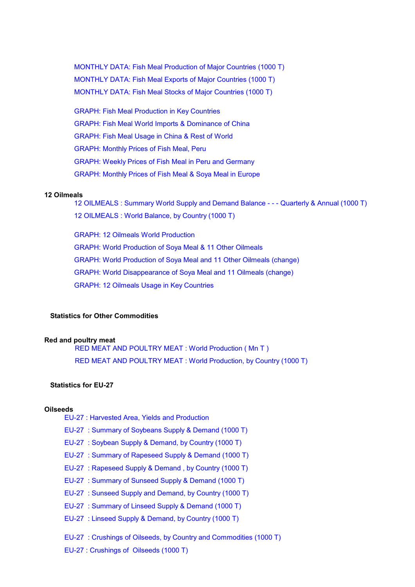[MONTHLY DATA: Fish Meal Production of Major Countries \(1000 T\)](http://Stats/AN3959X1.HTM) [MONTHLY DATA: Fish Meal Exports of Major Countries \(1000 T\)](http://Stats/AN3959X2.HTM) [MONTHLY DATA: Fish Meal Stocks of Major Countries \(1000 T\)](http://Stats/AN3959X3.HTM)

[GRAPH: Fish Meal Production in Key Countries](http://Stats/AN3959Ya.htm) [GRAPH: Fish Meal World Imports & Dominance of China](http://Stats/AN3959Yb.htm) [GRAPH: Fish Meal Usage in China & Rest of World](http://Stats/AN3959Yc.htm) GRAPH: Monthly [Prices of Fish Meal, Peru](http://Stats/AN3959Za.htm) GRAPH: Weekly [Prices of Fish Meal in Peru and Germany](http://Stats/AN3959Zb.htm) GRAPH: Monthly [Prices of Fish Meal & Soya Meal in Europe](http://Stats/AN3959Zc.htm)

# **12 Oilmeals**

[12 OILMEALS : Summary World Supply and](http://Stats/AN39991.HTM) Demand Balance - - - Quarterly & Annual (1000 T) [12 OILMEALS : World Balance, by Country](http://Stats/AN39992.HTM) (1000 T)

[GRAPH: 12 Oilmeals World Production](http://Stats/AN3999Ya.htm) [GRAPH: World Production of Soya Meal & 11 Other Oilmeals](http://Stats/AN3999Yb.htm) [GRAPH: World Production of Soya Meal and 11 Other Oilmeals \(change\)](http://Stats/AN3999Yc.htm) [GRAPH: World Disappearance of Soya Meal and 11 Oilmeals \(change\)](http://Stats/AN3999Yd.htm) [GRAPH: 12 Oilmeals Usage in Key](http://Stats/AN3999Ye.htm) Countries

# **Statistics for Other Commodities**

#### **Red and poultry meat**

[RED MEAT AND POULTRY MEAT : World](http://Stats/AN69091.HTM) Production ( Mn T ) [RED MEAT AND POULTRY MEAT : World](http://Stats/AN69092.HTM) Production, by Country (1000 T)

# **Statistics for EU-27**

# **Oilseeds**

- [EU-27 : Harvested Area, Yields and Production](http://Stats/AN04901.HTM)
- [EU-27 : Summary of Soybeans Supply & Demand \(1000 T\)](http://Stats/AN049102.HTM)
- [EU-27 : Soybean Supply & Demand, by Country](http://Stats/AN049103.HTM) (1000 T)
- [EU-27 : Summary of Rapeseed Supply & Demand \(1000 T\)](http://Stats/AN049104.HTM)
- [EU-27 : Rapeseed Supply & Demand , by](http://Stats/AN049105.HTM) Country (1000 T)
- [EU-27 : Summary of Sunseed Supply & Demand \(1000 T\)](http://Stats/AN049106.HTM)
- [EU-27 : Sunseed Supply and Demand, by Country \(1000 T\)](http://Stats/AN049107.HTM)
- [EU-27 : Summary of Linseed Supply & Demand \(1000 T\)](http://Stats/AN049108.HTM)
- [EU-27 : Linseed Supply & Demand, by Country](http://Stats/AN049109.HTM) (1000 T)
- EU-27 : Crushings of [Oilseeds, by Country and Commodities \(1000 T\)](http://Stats/AN049110.HTM)

[EU-27 : Crushings of Oilseeds \(1000 T\)](http://Stats/AN049111.HTM)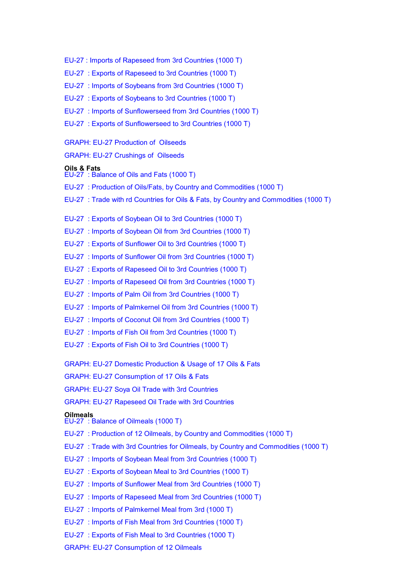- EU-27 : Imports [of Rapeseed from 3rd Countries \(1000 T\)](http://Stats/AN049115.HTM)
- [EU-27 : Exports of Rapeseed to 3rd Countries \(1000 T\)](http://Stats/AN049116.HTM)
- [EU-27 : Imports of Soybeans from 3rd Countries \(1000 T\)](http://Stats/AN049117.HTM)
- [EU-27 : Exports of Soybeans to 3rd Countries](http://Stats/AN049118.HTM) (1000 T)
- [EU-27 : Imports of Sunflowerseed from 3rd Countries \(1000 T\)](http://Stats/AN049119.HTM)
- [EU-27 : Exports of Sunflowerseed to 3rd Countries \(1000 T\)](http://Stats/AN049120.HTM)
- [GRAPH: EU-27 Production of Oilseeds](http://Stats/AN049125.htm)
- [GRAPH: EU-27 Crushings of Oilseeds](http://Stats/AN049126.htm)

#### **Oils & Fats**

- EU-27 : Balance of [Oils and Fats \(1000 T\)](http://Stats/AN049201.HTM)
- [EU-27 : Production of Oils/Fats, by Country and Commodities \(1000 T\)](http://Stats/AN049202.HTM)
- [EU-27 : Trade with rd Countries for Oils & Fats, by Country](http://Stats/AN049203.HTM) and Commodities (1000 T)
- [EU-27 : Exports of Soybean Oil to 3rd Countries](http://Stats/AN049204.HTM) (1000 T)
- [EU-27 : Imports of Soybean Oil from 3rd Countries \(1000 T\)](http://Stats/AN049205.HTM)
- [EU-27 : Exports of Sunflower Oil to 3rd Countries \(1000 T\)](http://Stats/AN049206.HTM)
- [EU-27 : Imports of Sunflower Oil from 3rd Countries \(1000 T\)](http://Stats/AN049207.HTM)
- [EU-27 : Exports of Rapeseed Oil to 3rd Countries \(1000 T\)](http://Stats/AN049208.HTM)
- [EU-27 : Imports of Rapeseed Oil from 3rd Countries \(1000 T\)](http://Stats/AN049209.HTM)
- [EU-27 : Imports of Palm Oil from 3rd Countries \(1000 T\)](http://Stats/AN049210.HTM)
- [EU-27 : Imports of Palmkernel Oil](http://Stats/AN049211.HTM) from 3rd Countries (1000 T)
- [EU-27 : Imports of Coconut Oil from 3rd Countries \(1000 T\)](http://Stats/AN049212.HTM)
- [EU-27 : Imports of Fish Oil from](http://Stats/AN049213.HTM) 3rd Countries (1000 T)
- [EU-27 : Exports of Fish Oil to 3rd Countries \(1000 T\)](http://Stats/AN049214.HTM)
- [GRAPH: EU-27 Domestic Production & Usage of 17 Oils & Fats](http://Stats/AN049220.htm)
- [GRAPH: EU-27 Consumption of 17 Oils & Fats](http://Stats/AN049221.htm)
- [GRAPH: EU-27 Soya Oil Trade with 3rd Countries](http://Stats/AN049222.htm)
- [GRAPH: EU-27 Rapeseed Oil](http://Stats/AN049223.htm) Trade with 3rd Countries
- **Oilmeals** [EU-27 : Balance of](http://Stats/AN049301.HTM) Oilmeals (1000 T)
- [EU-27 : Production of 12 Oilmeals, by Country and Commodities \(1000 T\)](http://Stats/AN049302.HTM)
- [EU-27 : Trade with 3rd Countries for Oilmeals, by](http://Stats/AN049303.HTM) Country and Commodities (1000 T)
- [EU-27 : Imports of Soybean Meal from 3rd Countries \(1000 T\)](http://Stats/AN049304.HTM)
- [EU-27 : Exports of Soybean Meal](http://Stats/AN049305.HTM) to 3rd Countries (1000 T)
- [EU-27 : Imports of Sunflower Meal from 3rd Countries \(1000 T\)](http://Stats/AN049306.HTM)
- [EU-27 : Imports of Rapeseed Meal from 3rd Countries \(1000 T\)](http://Stats/AN049307.HTM)
- [EU-27 : Imports of Palmkernel Meal from 3rd \(1000 T\)](http://Stats/AN049308.HTM)
- [EU-27 : Imports of Fish Meal from 3rd Countries \(1000 T\)](http://Stats/AN049309.HTM)
- [EU-27 : Exports of Fish Meal to 3rd Countries](http://Stats/AN049310.HTM) (1000 T)
- [GRAPH: EU-27 Consumption of 12 Oilmeals](http://Stats/AN049315.htm)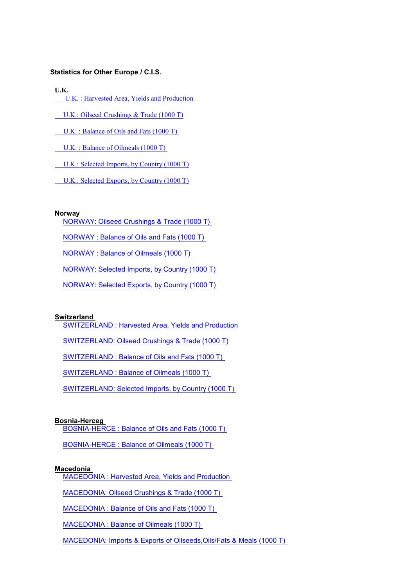# **Statistics for Other Europe / C.I.S.**

**U.K.**

- [U.K. : Harvested Area, Yields and Production](http://Stats/AN06300.HTM)
- [U.K.: Oilseed Crushings & Trade \(1000 T\)](http://Stats/AN06307.HTM)
- [U.K. : Balance of Oils and Fats \(1000 T\)](http://Stats/AN06308.HTM)
- [U.K. : Balance of Oilmeals \(1000 T\)](http://Stats/AN06309.HTM)
- [U.K.: Selected Imports, by Country \(1000 T\)](http://Stats/AN06365.HTM)
- [U.K.: Selected Exports, by Country \(1000 T\)](http://Stats/AN06366.HTM)

# **Norway**

- [NORWAY: Oilseed Crushings & Trade \(1000 T\)](http://Stats/AN07007.HTM)
- [NORWAY : Balance of Oils and Fats \(1000 T\)](http://Stats/AN07008.HTM)
- [NORWAY : Balance of Oilmeals \(1000 T\)](http://Stats/AN07009.HTM)
- [NORWAY: Selected Imports, by Country \(1000 T\)](http://Stats/AN07065.HTM)
- [NORWAY: Selected Exports, by](http://Stats/AN07066.HTM) Country (1000 T)

#### **Switzerland**

- [SWITZERLAND : Harvested Area, Yields and Production](http://Stats/AN08600.HTM)
- [SWITZERLAND: Oilseed Crushings & Trade \(1000 T\)](http://Stats/AN08607.HTM)
- [SWITZERLAND : Balance of Oils and Fats \(1000 T\)](http://Stats/AN08608.HTM)
- [SWITZERLAND : Balance of Oilmeals \(1000 T\)](http://Stats/AN08609.HTM)
- [SWITZERLAND: Selected Imports, by Country](http://Stats/AN08665.HTM) (1000 T)

#### **Bosnia-Herceg**

- [BOSNIA-HERCE : Balance of Oils and Fats \(1000 T\)](http://Stats/AN12508.HTM)
- [BOSNIA-HERCE : Balance of Oilmeals](http://Stats/AN12509.HTM) (1000 T)

#### **Macedonia**

- [MACEDONIA : Harvested Area, Yields and Production](http://Stats/AN12700.HTM)
- [MACEDONIA: Oilseed Crushings & Trade \(1000 T\)](http://Stats/AN12707.HTM)
- [MACEDONIA : Balance of Oils and Fats \(1000 T\)](http://Stats/AN12708.HTM)
- [MACEDONIA : Balance of Oilmeals \(1000 T\)](http://Stats/AN12709.HTM)
- [MACEDONIA: Imports & Exports of Oilseeds,Oils/Fats & Meals \(1000 T\)](http://Stats/AN12765.HTM)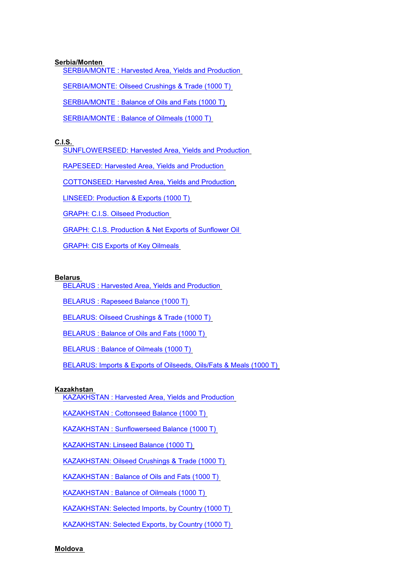# **Serbia/Monten**

[SERBIA/MONTE : Harvested Area, Yields and Production](http://Stats/AN13100.HTM)

[SERBIA/MONTE: Oilseed Crushings & Trade \(1000 T\)](http://Stats/AN13107.HTM)

[SERBIA/MONTE : Balance of Oils and Fats \(1000 T\)](http://Stats/AN13108.HTM)

[SERBIA/MONTE : Balance of Oilmeals \(1000 T\)](http://Stats/AN13109.HTM)

# **C.I.S.**

[SUNFLOWERSEED: Harvested Area, Yields](http://Stats/AN15003.HTM) and Production

[RAPESEED: Harvested Area, Yields and Production](http://Stats/AN15004.HTM)

[COTTONSEED: Harvested Area, Yields and Production](http://Stats/AN15005.HTM)

[LINSEED: Production & Exports](http://Stats/AN15007.HTM) (1000 T)

[GRAPH: C.I.S. Oilseed Production](http://Stats/AN150Za.htm)

[GRAPH: C.I.S. Production & Net Exports](http://Stats/AN150Zb.htm) of Sunflower Oil

[GRAPH: CIS Exports of Key Oilmeals](http://Stats/AN150Zc.htm)

# **Belarus**

[BELARUS : Harvested Area, Yields and Production](http://Stats/AN16500.HTM)

[BELARUS : Rapeseed Balance \(1000 T\)](http://Stats/AN16501.HTM)

[BELARUS: Oilseed Crushings & Trade \(1000 T\)](http://Stats/AN16507.HTM)

[BELARUS : Balance of Oils and Fats \(1000 T\)](http://Stats/AN16508.HTM)

[BELARUS : Balance of Oilmeals \(1000 T\)](http://Stats/AN16509.HTM)

[BELARUS: Imports & Exports of Oilseeds, Oils/Fats & Meals \(1000 T\)](http://Stats/AN16565.HTM)

# **Kazakhstan**

[KAZAKHSTAN : Harvested Area, Yields and Production](http://Stats/AN16900.HTM)

[KAZAKHSTAN : Cottonseed Balance \(1000 T\)](http://Stats/AN16901.HTM)

[KAZAKHSTAN : Sunflowerseed Balance \(1000 T\)](http://Stats/AN16902.HTM)

[KAZAKHSTAN: Linseed Balance \(1000 T\)](http://Stats/AN16903.HTM)

[KAZAKHSTAN: Oilseed Crushings & Trade \(1000 T\)](http://Stats/AN16907.HTM)

[KAZAKHSTAN : Balance of Oils and Fats](http://Stats/AN16908.HTM) (1000 T)

[KAZAKHSTAN : Balance of Oilmeals \(1000 T\)](http://Stats/AN16909.HTM)

[KAZAKHSTAN: Selected Imports, by Country \(1000 T\)](http://Stats/AN16965.HTM)

[KAZAKHSTAN: Selected Exports, by Country \(1000 T\)](http://Stats/AN16966.HTM)

**Moldova**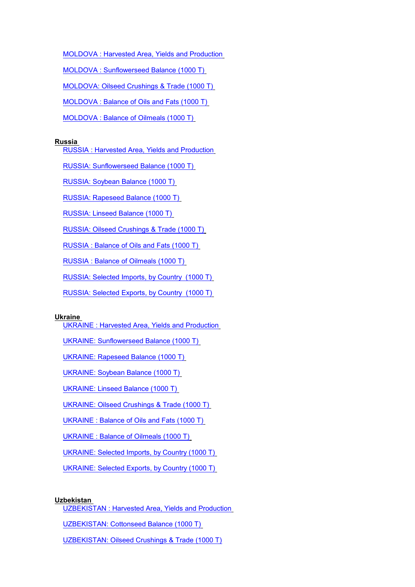[MOLDOVA : Harvested Area, Yields and Production](http://Stats/AN17300.HTM)

[MOLDOVA : Sunflowerseed Balance \(1000 T\)](http://Stats/AN17301.HTM)

[MOLDOVA: Oilseed Crushings & Trade \(1000 T\)](http://Stats/AN17307.HTM)

[MOLDOVA : Balance of Oils and Fats \(1000 T\)](http://Stats/AN17308.HTM)

[MOLDOVA : Balance of Oilmeals \(1000 T\)](http://Stats/AN17309.HTM)

# **Russia**

[RUSSIA : Harvested Area, Yields and Production](http://Stats/AN17500.HTM)

[RUSSIA: Sunflowerseed Balance \(1000 T\)](http://Stats/AN17501.HTM)

[RUSSIA: Soybean Balance \(1000 T\)](http://Stats/AN17502.HTM)

[RUSSIA: Rapeseed Balance \(1000 T\)](http://Stats/AN17503.HTM)

[RUSSIA: Linseed Balance \(1000 T\)](http://Stats/AN17504.HTM)

[RUSSIA: Oilseed Crushings & Trade \(1000 T\)](http://Stats/AN17507.HTM)

[RUSSIA : Balance of Oils and Fats \(1000 T\)](http://Stats/AN17508.HTM)

[RUSSIA : Balance of Oilmeals](http://Stats/AN17509.HTM) (1000 T)

[RUSSIA: Selected Imports, by Country \(1000 T\)](http://Stats/AN17565.HTM)

[RUSSIA: Selected Exports, by Country \(1000 T\)](http://Stats/AN17566.HTM)

## **Ukraine**

[UKRAINE : Harvested Area, Yields and Production](http://Stats/AN18100.HTM)

[UKRAINE: Sunflowerseed Balance \(1000 T\)](http://Stats/AN18101.HTM)

[UKRAINE: Rapeseed Balance \(1000 T\)](http://Stats/AN18103.HTM)

[UKRAINE: Soybean Balance \(1000 T\)](http://Stats/AN18104.HTM)

[UKRAINE: Linseed Balance \(1000 T\)](http://Stats/AN18105.HTM)

[UKRAINE: Oilseed Crushings & Trade \(1000 T\)](http://Stats/AN18107.HTM)

[UKRAINE : Balance of Oils and Fats \(1000 T\)](http://Stats/AN18108.HTM)

[UKRAINE : Balance of Oilmeals \(1000 T\)](http://Stats/AN18109.HTM)

[UKRAINE: Selected Imports, by Country \(1000 T\)](http://Stats/AN18165.HTM)

[UKRAINE: Selected Exports, by Country \(1000 T\)](http://Stats/AN18166.HTM)

#### **Uzbekistan**

[UZBEKISTAN : Harvested Area, Yields and Production](http://Stats/AN18200.HTM)

[UZBEKISTAN: Cottonseed Balance \(1000 T\)](http://Stats/AN18201.HTM)

[UZBEKISTAN: Oilseed Crushings & Trade \(1000 T\)](http://Stats/AN18207.HTM)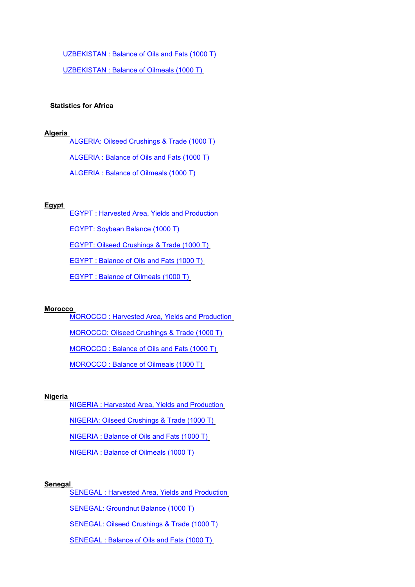[UZBEKISTAN : Balance of Oils and Fats \(1000 T\)](http://Stats/AN18208.HTM)

[UZBEKISTAN : Balance of Oilmeals \(1000 T\)](http://Stats/AN18209.HTM)

# **Statistics for Africa**

# **Algeria**

[ALGERIA: Oilseed Crushings & Trade \(1000 T\)](http://Stats/AN20407.HTM) ALGERIA : Balance of [Oils and Fats \(1000 T\)](http://Stats/AN20408.HTM) [ALGERIA : Balance of](http://Stats/AN20409.HTM) Oilmeals (1000 T)

# **Egypt**

[EGYPT : Harvested Area, Yields and Production](http://Stats/AN25200.HTM)

[EGYPT: Soybean Balance \(1000 T\)](http://Stats/AN25202.HTM)

[EGYPT: Oilseed Crushings & Trade \(1000 T\)](http://Stats/AN25207.HTM)

[EGYPT : Balance of Oils and Fats \(1000 T\)](http://Stats/AN25208.HTM)

[EGYPT : Balance of Oilmeals \(1000 T\)](http://Stats/AN25209.HTM)

#### **Morocco**

[MOROCCO : Harvested Area, Yields](http://Stats/AN33200.HTM) and Production

[MOROCCO: Oilseed Crushings & Trade \(1000 T\)](http://Stats/AN33207.HTM)

[MOROCCO : Balance of Oils and Fats \(1000 T\)](http://Stats/AN33208.HTM)

[MOROCCO : Balance of Oilmeals \(1000 T\)](http://Stats/AN33209.HTM)

#### **Nigeria**

[NIGERIA : Harvested Area, Yields and Production](http://Stats/AN34400.HTM)

[NIGERIA: Oilseed Crushings & Trade \(1000 T\)](http://Stats/AN34407.HTM)

[NIGERIA : Balance of Oils](http://Stats/AN34408.HTM) and Fats (1000 T)

[NIGERIA : Balance of Oilmeals \(1000 T\)](http://Stats/AN34409.HTM)

# **Senegal**

[SENEGAL : Harvested Area, Yields and Production](http://Stats/AN36000.HTM)

[SENEGAL: Groundnut Balance \(1000 T\)](http://Stats/AN36006.HTM)

[SENEGAL: Oilseed Crushings & Trade \(1000 T\)](http://Stats/AN36007.HTM)

[SENEGAL : Balance of Oils and Fats \(1000 T\)](http://Stats/AN36008.HTM)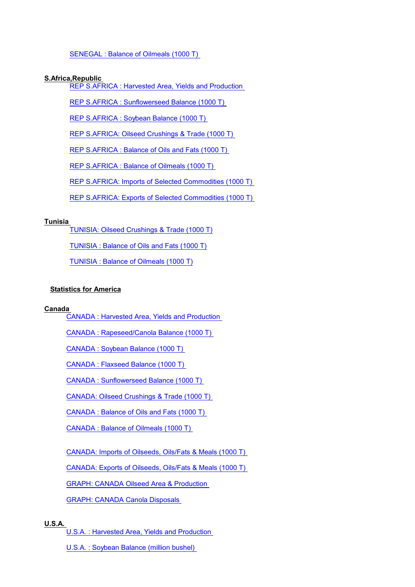[SENEGAL : Balance of Oilmeals \(1000 T\)](http://Stats/AN36009.HTM)

# **S.Africa,Republic**

[REP S.AFRICA : Harvested Area, Yields and Production](http://Stats/AN37200.HTM)

[REP S.AFRICA : Sunflowerseed Balance \(1000 T\)](http://Stats/AN37201.HTM)

[REP S.AFRICA : Soybean Balance \(1000 T\)](http://Stats/AN37202.HTM)

[REP S.AFRICA: Oilseed Crushings & Trade \(1000 T\)](http://Stats/AN37207.HTM)

[REP S.AFRICA : Balance of](http://Stats/AN37208.HTM) Oils and Fats (1000 T)

[REP S.AFRICA : Balance of](http://Stats/AN37209.HTM) Oilmeals (1000 T)

REP S.AFRICA: Imports [of Selected Commodities \(1000 T\)](http://Stats/AN37265.HTM)

[REP S.AFRICA: Exports of Selected Commodities \(1000 T\)](http://Stats/AN37266.HTM)

# **Tunisia**

[TUNISIA: Oilseed Crushings & Trade \(1000 T\)](http://Stats/AN38707.HTM)

[TUNISIA : Balance of Oils and Fats \(1000 T\)](http://Stats/AN38708.HTM)

[TUNISIA : Balance of Oilmeals \(1000 T\)](http://Stats/AN38709.HTM)

# **Statistics for America**

# **Canada**

[CANADA : Harvested Area, Yields and Production](http://Stats/AN40000.HTM)

[CANADA : Rapeseed/Canola Balance \(1000 T\)](http://Stats/AN40001.HTM)

[CANADA : Soybean Balance \(1000 T\)](http://Stats/AN40002.HTM)

[CANADA : Flaxseed Balance \(1000 T\)](http://Stats/AN40003.HTM)

[CANADA : Sunflowerseed Balance \(1000 T\)](http://Stats/AN40004.HTM)

[CANADA: Oilseed Crushings & Trade \(1000 T\)](http://Stats/AN40007.HTM)

[CANADA : Balance of Oils](http://Stats/AN40008.HTM) and Fats (1000 T)

[CANADA : Balance of Oilmeals](http://Stats/AN40009.HTM) (1000 T)

[CANADA: Imports of Oilseeds, Oils/Fats & Meals \(1000 T\)](http://Stats/AN40065.HTM)

[CANADA: Exports of](http://Stats/AN40066.HTM) Oilseeds, Oils/Fats & Meals (1000 T)

[GRAPH: CANADA Oilseed Area & Production](http://Stats/AN400Za.htm) 

[GRAPH: CANADA Canola Disposals](http://Stats/AN400Zb.htm)

# **U.S.A.**

[U.S.A. : Harvested Area, Yields and Production](http://Stats/AN40500.HTM)

[U.S.A. : Soybean Balance \(million bushel\)](http://Stats/AN40502A.HTM)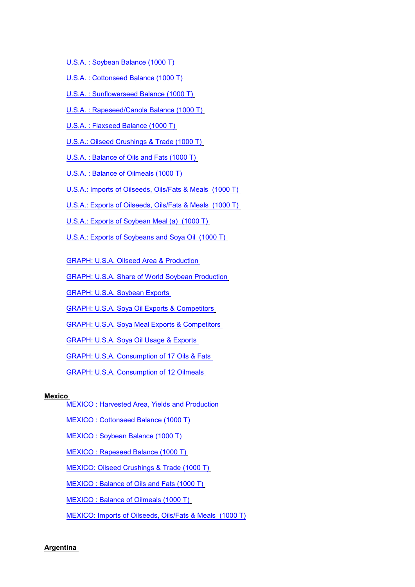[U.S.A. : Soybean Balance \(1000 T\)](http://Stats/AN40502B.HTM)

- [U.S.A. : Cottonseed Balance \(1000 T\)](http://Stats/AN40503.HTM)
- [U.S.A. : Sunflowerseed Balance \(1000 T\)](http://Stats/AN40504.HTM)
- [U.S.A. : Rapeseed/Canola Balance \(1000 T\)](http://Stats/AN40505.HTM)
- [U.S.A. : Flaxseed Balance \(1000 T\)](http://Stats/AN40506.HTM)
- [U.S.A.: Oilseed Crushings & Trade \(1000 T\)](http://Stats/AN40507.HTM)
- [U.S.A. : Balance of Oils and Fats \(1000 T\)](http://Stats/AN40508.HTM)
- [U.S.A. : Balance of Oilmeals](http://Stats/AN40509.HTM) (1000 T)
- [U.S.A.: Imports of Oilseeds, Oils/Fats & Meals \(1000 T\)](http://Stats/AN40565.HTM)
- [U.S.A.: Exports of Oilseeds, Oils/Fats & Meals \(1000 T\)](http://Stats/AN40566.HTM)
- [U.S.A.: Exports of Soybean Meal](http://Stats/AN40567.HTM) (a) (1000 T)
- [U.S.A.: Exports of Soybeans and Soya Oil \(1000 T\)](http://Stats/AN40568.HTM)
- [GRAPH: U.S.A. Oilseed Area & Production](http://Stats/AN405Za.htm)
- [GRAPH: U.S.A. Share of World Soybean Production](http://Stats/AN405Zd.htm)
- [GRAPH: U.S.A. Soybean Exports](http://Stats/AN405Zf.htm)
- [GRAPH: U.S.A. Soya Oil Exports & Competitors](http://Stats/AN405Zg.htm)
- [GRAPH: U.S.A. Soya Meal](http://Stats/AN405Zh.htm) Exports & Competitors
- [GRAPH: U.S.A. Soya Oil Usage & Exports](http://Stats/AN405Zi.htm)
- [GRAPH: U.S.A. Consumption of 17 Oils & Fats](http://Stats/AN405Zj.htm)
- [GRAPH: U.S.A. Consumption of 12 Oilmeals](http://Stats/AN405Zl.htm)

# **Mexico**

- [MEXICO : Harvested Area, Yields and Production](http://Stats/AN46000.HTM)
- [MEXICO : Cottonseed Balance \(1000 T\)](http://Stats/AN46001.HTM)
- [MEXICO : Soybean Balance \(1000 T\)](http://Stats/AN46002.HTM)
- [MEXICO : Rapeseed Balance \(1000 T\)](http://Stats/AN46003.HTM)
- [MEXICO: Oilseed Crushings & Trade \(1000 T\)](http://Stats/AN46007.HTM)
- [MEXICO : Balance of Oils and Fats \(1000 T\)](http://Stats/AN46008.HTM)
- [MEXICO : Balance of Oilmeals \(1000 T\)](http://Stats/AN46009.HTM)
- [MEXICO: Imports of Oilseeds, Oils/Fats & Meals \(1000 T\)](http://Stats/AN46065.HTM)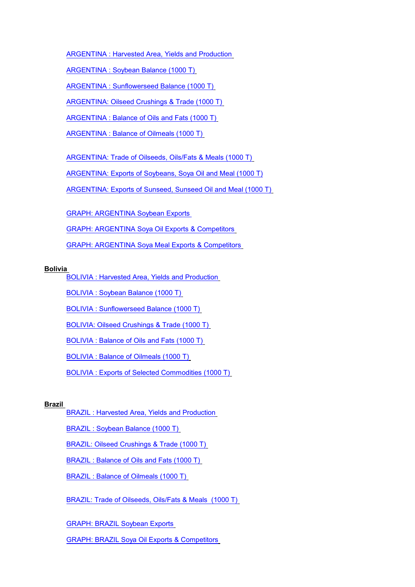[ARGENTINA : Harvested Area, Yields and Production](http://Stats/AN50000.HTM)

[ARGENTINA : Soybean Balance \(1000 T\)](http://Stats/AN50001.HTM)

[ARGENTINA : Sunflowerseed Balance \(1000 T\)](http://Stats/AN50002.HTM)

[ARGENTINA: Oilseed Crushings](http://Stats/AN50007.HTM) & Trade (1000 T)

[ARGENTINA : Balance of Oils and Fats \(1000 T\)](http://Stats/AN50008.HTM)

[ARGENTINA : Balance of Oilmeals \(1000 T\)](http://Stats/AN50009.HTM)

[ARGENTINA: Trade of Oilseeds, Oils/Fats & Meals \(1000 T\)](http://Stats/AN50065.HTM)

[ARGENTINA: Exports of Soybeans, Soya Oil and Meal \(1000 T\)](http://Stats/AN50066.HTM)

[ARGENTINA: Exports of Sunseed, Sunseed Oil and Meal \(1000 T\)](http://Stats/AN50067.HTM)

[GRAPH: ARGENTINA Soybean Exports](http://Stats/AN500Zc.htm)

[GRAPH: ARGENTINA Soya Oil Exports & Competitors](http://Stats/AN500Zd.htm)

[GRAPH: ARGENTINA Soya Meal Exports & Competitors](http://Stats/AN500Ze.htm)

# **Bolivia**

[BOLIVIA : Harvested Area, Yields and Production](http://Stats/AN50500.HTM)

[BOLIVIA : Soybean Balance \(1000 T\)](http://Stats/AN50501.HTM)

[BOLIVIA : Sunflowerseed Balance \(1000 T\)](http://Stats/AN50502.HTM)

[BOLIVIA: Oilseed Crushings & Trade \(1000 T\)](http://Stats/AN50507.HTM)

BOLIVIA : Balance of [Oils and Fats \(1000 T\)](http://Stats/AN50508.HTM)

[BOLIVIA : Balance of](http://Stats/AN50509.HTM) Oilmeals (1000 T)

BOLIVIA : Exports of [Selected Commodities \(1000 T\)](http://Stats/AN50565.HTM)

# **Brazil**

[BRAZIL : Harvested Area, Yields and Production](http://Stats/AN51000.HTM)

[BRAZIL : Soybean Balance \(1000 T\)](http://Stats/AN51000A.HTM)

[BRAZIL: Oilseed Crushings & Trade \(1000 T\)](http://Stats/AN51007.HTM)

[BRAZIL : Balance of Oils and Fats \(1000 T\)](http://Stats/AN51008.HTM)

[BRAZIL : Balance of Oilmeals \(1000 T\)](http://Stats/AN51009.HTM)

BRAZIL: Trade of [Oilseeds, Oils/Fats & Meals \(1000 T\)](http://Stats/AN51065.HTM)

[GRAPH: BRAZIL Soybean Exports](http://Stats/AN510Zc.htm)

[GRAPH: BRAZIL Soya Oil Exports & Competitors](http://Stats/AN510Zd.htm)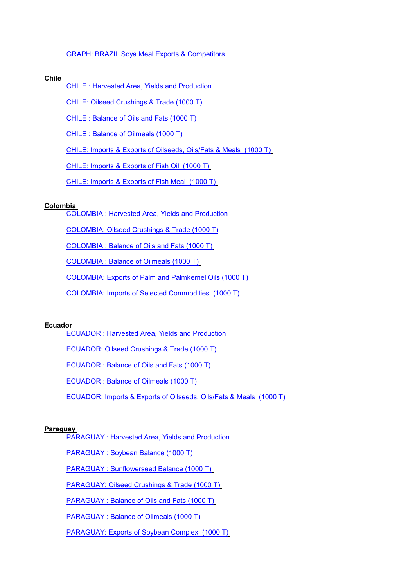# [GRAPH: BRAZIL Soya Meal Exports & Competitors](http://Stats/AN510Ze.htm)

# **Chile**

[CHILE : Harvested Area, Yields and Production](http://Stats/AN51500.HTM)

[CHILE: Oilseed Crushings & Trade \(1000 T\)](http://Stats/AN51507.HTM)

[CHILE : Balance of Oils and Fats \(1000 T\)](http://Stats/AN51508.HTM)

[CHILE : Balance of Oilmeals \(1000 T\)](http://Stats/AN51509.HTM)

[CHILE: Imports & Exports of Oilseeds, Oils/Fats & Meals \(1000 T\)](http://Stats/AN51565.HTM)

[CHILE: Imports & Exports of Fish Oil \(1000 T\)](http://Stats/AN51566.HTM)

[CHILE: Imports & Exports of Fish Meal \(1000 T\)](http://Stats/AN51567.HTM)

# **Colombia**

[COLOMBIA : Harvested Area, Yields and Production](http://Stats/AN52000.HTM)

[COLOMBIA: Oilseed Crushings & Trade \(1000 T\)](http://Stats/AN52007.HTM)

[COLOMBIA : Balance of Oils and Fats](http://Stats/AN52008.HTM) (1000 T)

[COLOMBIA : Balance of Oilmeals \(1000 T\)](http://Stats/AN52009.HTM)

COLOMBIA: Exports [of Palm and Palmkernel](http://Stats/AN52065.HTM) Oils (1000 T)

[COLOMBIA: Imports of Selected Commodities \(1000 T\)](http://Stats/AN52066.HTM)

# **Ecuador**

[ECUADOR : Harvested Area, Yields and Production](http://Stats/AN52500.HTM)

[ECUADOR: Oilseed Crushings](http://Stats/AN52507.HTM) & Trade (1000 T)

[ECUADOR : Balance of Oils and Fats \(1000 T\)](http://Stats/AN52508.HTM)

[ECUADOR : Balance of Oilmeals \(1000 T\)](http://Stats/AN52509.HTM)

ECUADOR: Imports & Exports of [Oilseeds, Oils/Fats & Meals \(1000 T\)](http://Stats/AN52565.HTM)

# **Paraguay**

PARAGUAY [: Harvested Area, Yields and Production](http://Stats/AN54500.HTM)

PARAGUAY [: Soybean Balance \(1000 T\)](http://Stats/AN54501.HTM)

PARAGUAY [: Sunflowerseed Balance \(1000 T\)](http://Stats/AN54502.HTM)

[PARAGUAY: Oilseed Crushings & Trade \(1000 T\)](http://Stats/AN54507.HTM)

PARAGUAY [: Balance of Oils and Fats \(1000 T\)](http://Stats/AN54508.HTM)

PARAGUAY [: Balance of Oilmeals \(1000 T\)](http://Stats/AN54509.HTM)

[PARAGUAY: Exports of Soybean Complex \(1000 T\)](http://Stats/AN54565.HTM)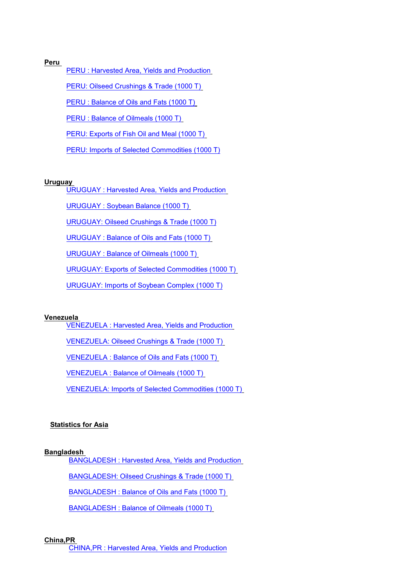# **Peru**

[PERU : Harvested Area, Yields and Production](http://Stats/AN55000.HTM)

[PERU: Oilseed Crushings & Trade \(1000 T\)](http://Stats/AN55007.HTM)

PERU : Balance of [Oils and Fats \(1000 T\)](http://Stats/AN55008.HTM)

[PERU : Balance of](http://Stats/AN55009.HTM) Oilmeals (1000 T)

PERU: Exports [of Fish Oil and Meal \(1000 T\)](http://Stats/AN55065.HTM)

[PERU: Imports of Selected Commodities \(1000 T\)](http://Stats/AN55066.HTM)

# **Uruguay**

[URUGUAY : Harvested Area, Yields and Production](http://Stats/AN56000.HTM)

[URUGUAY : Soybean Balance \(1000 T\)](http://Stats/AN56001.HTM)

[URUGUAY: Oilseed Crushings & Trade \(1000 T\)](http://Stats/AN56007.HTM)

[URUGUAY : Balance of Oils and Fats](http://Stats/AN56008.HTM) (1000 T)

[URUGUAY : Balance of Oilmeals \(1000 T\)](http://Stats/AN56009.HTM)

[URUGUAY: Exports of Selected Commodities \(1000 T\)](http://Stats/AN56065.HTM)

[URUGUAY: Imports of Soybean Complex \(1000 T\)](http://Stats/AN56066.HTM)

# **Venezuela**

[VENEZUELA : Harvested Area, Yields and Production](http://Stats/AN56500.HTM)

[VENEZUELA: Oilseed Crushings](http://Stats/AN56507.HTM) & Trade (1000 T)

[VENEZUELA : Balance of Oils and Fats \(1000 T\)](http://Stats/AN56508.HTM)

[VENEZUELA : Balance of Oilmeals \(1000 T\)](http://Stats/AN56509.HTM)

[VENEZUELA: Imports of Selected Commodities \(1000 T\)](http://Stats/AN56565.HTM)

# **Statistics for Asia**

#### **Bangladesh**

[BANGLADESH : Harvested Area, Yields and Production](http://Stats/AN61200.HTM)

[BANGLADESH: Oilseed Crushings & Trade \(1000 T\)](http://Stats/AN61207.HTM)

[BANGLADESH : Balance of Oils and Fats \(1000 T\)](http://Stats/AN61208.HTM)

[BANGLADESH : Balance of Oilmeals \(1000 T\)](http://Stats/AN61209.HTM)

# **China,PR**

[CHINA,PR : Harvested Area, Yields and Production](http://Stats/AN62800.HTM)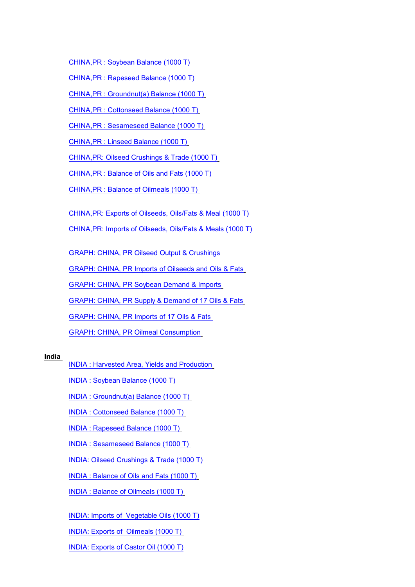[CHINA,PR : Soybean Balance \(1000 T\)](http://Stats/AN62801.HTM)

[CHINA,PR : Rapeseed Balance \(1000 T\)](http://Stats/AN62802.HTM)

[CHINA,PR : Groundnut\(a\) Balance \(1000 T\)](http://Stats/AN62803.HTM)

[CHINA,PR : Cottonseed Balance \(1000 T\)](http://Stats/AN62804.HTM)

[CHINA,PR : Sesameseed Balance \(1000 T\)](http://Stats/AN62805.HTM)

[CHINA,PR : Linseed Balance \(1000 T\)](http://Stats/AN62806.HTM)

[CHINA,PR: Oilseed Crushings & Trade \(1000 T\)](http://Stats/AN62807.HTM)

[CHINA,PR : Balance of Oils and Fats](http://Stats/AN62808.HTM) (1000 T)

[CHINA,PR : Balance of Oilmeals \(1000 T\)](http://Stats/AN62809.HTM)

[CHINA,PR: Exports of Oilseeds, Oils/Fats & Meal \(1000 T\)](http://Stats/AN62865.HTM)

[CHINA,PR: Imports of Oilseeds, Oils/Fats & Meals](http://Stats/AN62866.HTM) (1000 T)

[GRAPH: CHINA, PR Oilseed Output & Crushings](http://Stats/AN628Za.htm)

[GRAPH: CHINA, PR Imports of Oilseeds and Oils](http://Stats/AN628Zb.htm) & Fats

[GRAPH: CHINA, PR Soybean Demand & Imports](http://Stats/AN628Zc.htm)

[GRAPH: CHINA, PR Supply & Demand of 17 Oils & Fats](http://Stats/AN628Zd.htm)

[GRAPH: CHINA, PR Imports of 17 Oils & Fats](http://Stats/AN628Ze.htm) 

[GRAPH: CHINA, PR Oilmeal Consumption](http://Stats/AN628Zf.htm)

# **India**

[INDIA : Harvested Area, Yields and Production](http://Stats/AN64000.HTM)

[INDIA : Soybean Balance \(1000 T\)](http://Stats/AN64001.HTM)

[INDIA : Groundnut\(a\) Balance \(1000 T\)](http://Stats/AN64002.HTM)

[INDIA : Cottonseed Balance \(1000 T\)](http://Stats/AN64003.HTM)

[INDIA : Rapeseed Balance \(1000 T\)](http://Stats/AN64004.HTM)

[INDIA : Sesameseed Balance \(1000 T\)](http://Stats/AN64005.HTM)

[INDIA: Oilseed Crushings & Trade \(1000 T\)](http://Stats/AN64007.HTM)

[INDIA : Balance of Oils and Fats \(1000 T\)](http://Stats/AN64008.HTM)

[INDIA : Balance of Oilmeals](http://Stats/AN64009.HTM) (1000 T)

[INDIA: Imports of Vegetable Oils \(1000 T\)](http://Stats/AN64065.HTM)

[INDIA: Exports of Oilmeals \(1000 T\)](http://Stats/AN64066.HTM)

[INDIA: Exports of](http://Stats/AN64067.HTM) Castor Oil (1000 T)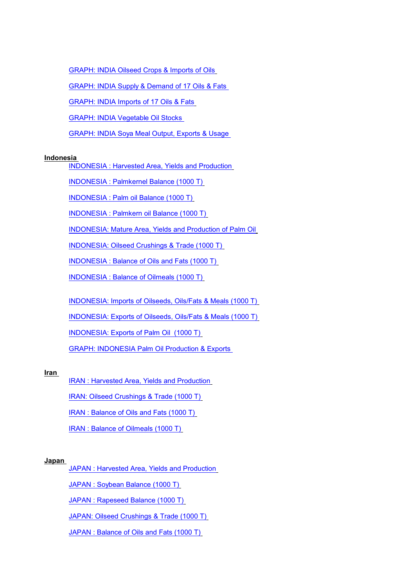[GRAPH: INDIA Oilseed Crops](http://Stats/AN640Za.htm) & Imports of Oils

GRAPH: INDIA Supply [& Demand of 17 Oils & Fats](http://Stats/AN640Zb.htm)

[GRAPH: INDIA Imports of 17 Oils & Fats](http://Stats/AN640Zc.htm)

[GRAPH: INDIA Vegetable Oil Stocks](http://Stats/AN640Zd.htm)

[GRAPH: INDIA Soya Meal](http://Stats/AN640Ze.htm) Output, Exports & Usage

# **Indonesia**

[INDONESIA : Harvested Area, Yields and Production](http://Stats/AN64400.HTM)

[INDONESIA : Palmkernel](http://Stats/AN64401.HTM) Balance (1000 T)

[INDONESIA : Palm oil Balance \(1000 T\)](http://Stats/AN64402.HTM)

[INDONESIA : Palmkern oil Balance \(1000 T\)](http://Stats/AN64403.HTM)

[INDONESIA: Mature Area, Yields and Production of Palm Oil](http://Stats/AN64405.HTM)

[INDONESIA: Oilseed Crushings & Trade \(1000 T\)](http://Stats/AN64407.HTM)

[INDONESIA : Balance of](http://Stats/AN64408.HTM) Oils and Fats (1000 T)

[INDONESIA : Balance of](http://Stats/AN64409.HTM) Oilmeals (1000 T)

[INDONESIA: Imports of Oilseeds, Oils/Fats & Meals \(1000 T\)](http://Stats/AN64465.HTM)

[INDONESIA: Exports of Oilseeds, Oils/Fats & Meals \(1000 T\)](http://Stats/AN64466.HTM)

[INDONESIA: Exports of Palm Oil \(1000 T\)](http://Stats/AN64467.HTM)

[GRAPH: INDONESIA Palm Oil Production & Exports](http://Stats/AN644Za.htm)

# **Iran**

[IRAN : Harvested Area, Yields and Production](http://Stats/AN64800.HTM)

[IRAN: Oilseed Crushings & Trade \(1000 T\)](http://Stats/AN64807.HTM)

IRAN : Balance of [Oils and Fats \(1000 T\)](http://Stats/AN64808.HTM)

IRAN : Balance of [Oilmeals \(1000 T\)](http://Stats/AN64809.HTM)

# **Japan**

[JAPAN : Harvested Area, Yields and Production](http://Stats/AN66000.HTM)

[JAPAN : Soybean Balance \(1000 T\)](http://Stats/AN66002.HTM)

[JAPAN : Rapeseed Balance \(1000 T\)](http://Stats/AN66004.HTM)

[JAPAN: Oilseed Crushings & Trade \(1000 T\)](http://Stats/AN66007.HTM)

[JAPAN : Balance of Oils and Fats \(1000 T\)](http://Stats/AN66008.HTM)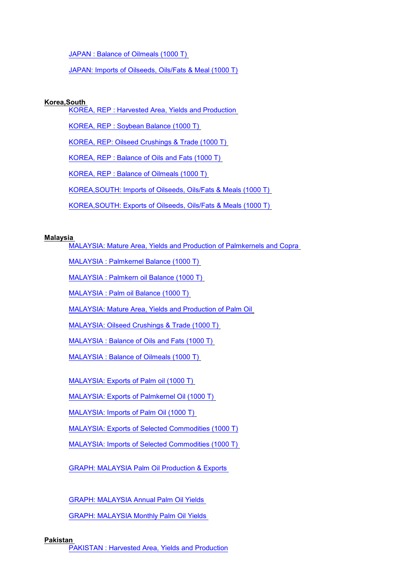[JAPAN : Balance of Oilmeals \(1000 T\)](http://Stats/AN66009.HTM)

JAPAN: Imports of [Oilseeds, Oils/Fats & Meal \(1000 T\)](http://Stats/AN66065.HTM)

# **Korea,South**

[KOREA, REP : Harvested Area, Yields and Production](http://Stats/AN68000.HTM)

[KOREA, REP : Soybean Balance \(1000 T\)](http://Stats/AN68001.HTM)

[KOREA, REP: Oilseed Crushings & Trade \(1000 T\)](http://Stats/AN68007.HTM)

[KOREA, REP : Balance of Oils and Fats \(1000 T\)](http://Stats/AN68008.HTM)

[KOREA, REP : Balance of Oilmeals \(1000 T\)](http://Stats/AN68009.HTM)

[KOREA,SOUTH: Imports of Oilseeds, Oils/Fats](http://Stats/AN68065.HTM) & Meals (1000 T)

[KOREA,SOUTH: Exports of Oilseeds, Oils/Fats & Meals \(1000 T\)](http://Stats/AN68066.HTM)

# **Malaysia**

MALAYSIA: Mature Area, Yields [and Production of Palmkernels and Copra](http://Stats/AN70400.HTM)

[MALAYSIA : Palmkernel](http://Stats/AN70400A.HTM) Balance (1000 T)

[MALAYSIA : Palmkern oil Balance \(1000 T\)](http://Stats/AN70401.HTM)

MALAYSIA : Palm [oil Balance \(1000 T\)](http://Stats/AN70402.HTM)

[MALAYSIA: Mature Area, Yields](http://Stats/AN70403.HTM) and Production of Palm Oil

[MALAYSIA: Oilseed Crushings & Trade \(1000 T\)](http://Stats/AN70407.HTM)

[MALAYSIA : Balance of Oils and Fats \(1000 T\)](http://Stats/AN70408.HTM)

[MALAYSIA : Balance of Oilmeals \(1000 T\)](http://Stats/AN70409.HTM)

[MALAYSIA: Exports of Palm](http://Stats/AN70465.HTM) oil (1000 T)

[MALAYSIA: Exports of Palmkernel Oil \(1000 T\)](http://Stats/AN70466.HTM)

[MALAYSIA: Imports of](http://Stats/AN70467.HTM) Palm Oil (1000 T)

[MALAYSIA: Exports of Selected Commodities \(1000 T\)](http://Stats/AN70468.HTM)

MALAYSIA: Imports of [Selected Commodities \(1000 T\)](http://Stats/AN70469.HTM)

[GRAPH: MALAYSIA Palm](http://Stats/AN704Za.htm) Oil Production & Exports

[GRAPH: MALAYSIA Annual Palm Oil Yields](http://Stats/AN704Zb.htm)

[GRAPH: MALAYSIA Monthly Palm Oil Yields](http://Stats/AN704Zc.htm)

# **Pakistan**

[PAKISTAN : Harvested Area, Yields and Production](http://Stats/AN72400.HTM)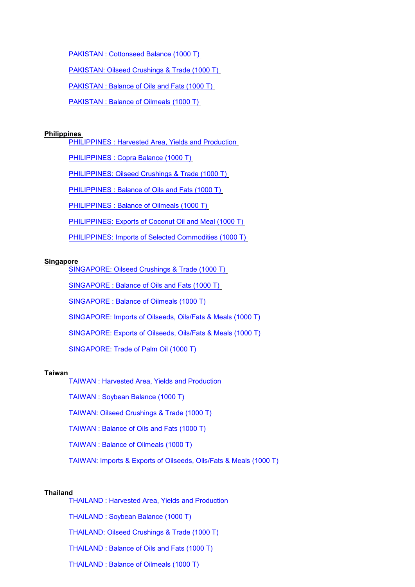[PAKISTAN : Cottonseed Balance \(1000 T\)](http://Stats/AN72402.HTM)

[PAKISTAN: Oilseed Crushings & Trade \(1000 T\)](http://Stats/AN72407.HTM)

[PAKISTAN : Balance of Oils and Fats](http://Stats/AN72408.HTM) (1000 T)

[PAKISTAN : Balance of Oilmeals \(1000 T\)](http://Stats/AN72409.HTM)

#### **Philippines**

[PHILIPPINES : Harvested Area, Yields and Production](http://Stats/AN72800.HTM)

[PHILIPPINES : Copra Balance \(1000 T\)](http://Stats/AN72802.HTM)

[PHILIPPINES: Oilseed Crushings & Trade \(1000 T\)](http://Stats/AN72807.HTM)

[PHILIPPINES : Balance of](http://Stats/AN72808.HTM) Oils and Fats (1000 T)

[PHILIPPINES : Balance of](http://Stats/AN72809.HTM) Oilmeals (1000 T)

[PHILIPPINES: Exports of Coconut Oil and Meal \(1000 T\)](http://Stats/AN72865.HTM)

PHILIPPINES: Imports [of Selected Commodities \(1000 T\)](http://Stats/AN72866.HTM)

#### **Singapore**

[SINGAPORE: Oilseed Crushings](http://Stats/AN74007.HTM) & Trade (1000 T)

[SINGAPORE : Balance of](http://Stats/AN74008.HTM) Oils and Fats (1000 T)

[SINGAPORE : Balance of](http://Stats/AN74009.HTM) Oilmeals (1000 T)

[SINGAPORE: Imports of Oilseeds, Oils/Fats & Meals \(1000 T\)](http://Stats/AN74065.HTM)

SINGAPORE: Exports [of Oilseeds, Oils/Fats & Meals \(1000 T\)](http://Stats/AN74066.HTM)

[SINGAPORE: Trade of Palm Oil \(1000 T\)](http://Stats/AN74067.HTM)

#### **Taiwan**

[TAIWAN : Harvested Area, Yields and Production](http://Stats/AN75200.HTM)

[TAIWAN : Soybean Balance \(1000 T\)](http://Stats/AN75202.HTM)

[TAIWAN: Oilseed Crushings & Trade \(1000 T\)](http://Stats/AN75207.HTM)

[TAIWAN : Balance of Oils and Fats \(1000 T\)](http://Stats/AN75208.HTM)

[TAIWAN : Balance of Oilmeals \(1000 T\)](http://Stats/AN75209.HTM)

TAIWAN: Imports & Exports [of Oilseeds, Oils/Fats & Meals \(1000 T\)](http://Stats/AN75265.HTM)

# **Thailand**

[THAILAND : Harvested Area, Yields and Production](http://Stats/AN75600.HTM) [THAILAND : Soybean Balance \(1000 T\)](http://Stats/AN75602.HTM) [THAILAND: Oilseed Crushings](http://Stats/AN75607.HTM) & Trade (1000 T) [THAILAND : Balance of Oils and Fats \(1000 T\)](http://Stats/AN75608.HTM) [THAILAND : Balance of Oilmeals \(1000 T\)](http://Stats/AN75609.HTM)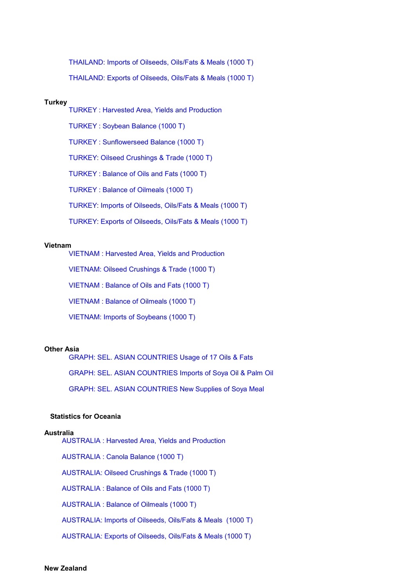THAILAND: Imports [of Oilseeds, Oils/Fats & Meals \(1000 T\)](http://Stats/AN75665.HTM) [THAILAND: Exports of Oilseeds, Oils/Fats & Meals \(1000 T\)](http://Stats/AN75666.HTM)

# **Turkey**

TURKEY [: Harvested Area, Yields and Production](http://Stats/AN76000.HTM) TURKEY [: Soybean Balance \(1000 T\)](http://Stats/AN76002.HTM) TURKEY [: Sunflowerseed Balance \(1000 T\)](http://Stats/AN76003.HTM) [TURKEY: Oilseed Crushings](http://Stats/AN76007.HTM) & Trade (1000 T) TURKEY [: Balance of Oils and Fats \(1000 T\)](http://Stats/AN76008.HTM) TURKEY [: Balance of Oilmeals \(1000 T\)](http://Stats/AN76009.HTM) TURKEY: Imports [of Oilseeds, Oils/Fats & Meals \(1000 T\)](http://Stats/AN76065.HTM) [TURKEY: Exports of Oilseeds, Oils/Fats & Meals \(1000 T\)](http://Stats/AN76066.HTM)

#### **Vietnam**

[VIETNAM : Harvested Area, Yields and Production](http://Stats/AN76800.HTM)

[VIETNAM: Oilseed Crushings & Trade \(1000 T\)](http://Stats/AN76807.HTM)

[VIETNAM : Balance of](http://Stats/AN76808.HTM) Oils and Fats (1000 T)

[VIETNAM : Balance of](http://Stats/AN76809.HTM) Oilmeals (1000 T)

[VIETNAM: Imports of Soybeans \(1000 T\)](http://Stats/AN76865.HTM)

# **Other Asia**

[GRAPH: SEL. ASIAN COUNTRIES Usage of 17 Oils & Fats](http://Stats/AN799Za.htm) [GRAPH: SEL. ASIAN COUNTRIES Imports](http://Stats/AN799Zb.htm) of Soya Oil & Palm Oil [GRAPH: SEL. ASIAN COUNTRIES New Supplies](http://Stats/AN799Zc.htm) of Soya Meal

# **Statistics for Oceania**

#### **Australia**

[AUSTRALIA : Harvested Area, Yields and Production](http://Stats/AN80500.HTM) [AUSTRALIA : Canola Balance \(1000 T\)](http://Stats/AN80501.HTM) [AUSTRALIA: Oilseed Crushings & Trade \(1000 T\)](http://Stats/AN80507.HTM) [AUSTRALIA : Balance of Oils and Fats \(1000 T\)](http://Stats/AN80508.HTM) [AUSTRALIA : Balance of Oilmeals \(1000 T\)](http://Stats/AN80509.HTM) [AUSTRALIA: Imports of Oilseeds, Oils/Fats & Meals \(1000 T\)](http://Stats/AN80565.HTM) [AUSTRALIA: Exports of Oilseeds, Oils/Fats & Meals](http://Stats/AN80566.HTM) (1000 T)